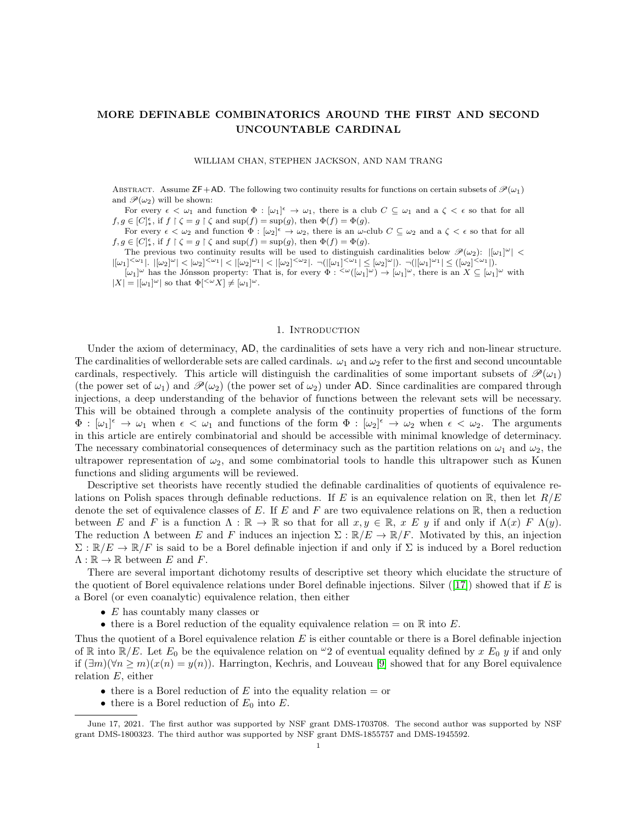### MORE DEFINABLE COMBINATORICS AROUND THE FIRST AND SECOND UNCOUNTABLE CARDINAL

### WILLIAM CHAN, STEPHEN JACKSON, AND NAM TRANG

ABSTRACT. Assume  $\mathsf{ZF}+\mathsf{AD}$ . The following two continuity results for functions on certain subsets of  $\mathscr{P}(\omega_1)$ and  $\mathscr{P}(\omega_2)$  will be shown:

For every  $\epsilon < \omega_1$  and function  $\Phi : [\omega_1]^{\epsilon} \to \omega_1$ , there is a club  $C \subseteq \omega_1$  and a  $\zeta < \epsilon$  so that for all  $f, g \in [C]_*^{\epsilon}$ , if  $f \restriction \zeta = g \restriction \zeta$  and  $\sup(f) = \sup(g)$ , then  $\Phi(f) = \Phi(g)$ .

For every  $\epsilon < \omega_2$  and function  $\Phi : [\omega_2]^{\epsilon} \to \omega_2$ , there is an  $\omega$ -club  $C \subseteq \omega_2$  and a  $\zeta < \epsilon$  so that for all  $f, g \in [C]_*^{\epsilon}$ , if  $f \restriction \zeta = g \restriction \zeta$  and  $\sup(f) = \sup(g)$ , then  $\Phi(f) = \Phi(g)$ .

The previous two continuity results will be used to distinguish cardinalities below  $\mathscr{P}(\omega_2)$ :  $|[\omega_1]^{\omega}|$  <  $|[\omega_1]^{<\omega_1}|, \; |[\omega_2]^\omega| < |\omega_2|^{<\omega_1}| < |[\omega_2]^{\omega_1}| < |[\omega_2]^{<\omega_2}|. \; \neg ( |[\omega_1]^{<\omega_1}| \leq [\omega_2]^\omega |). \; \neg ( |[\omega_1]^\omega|^1 \leq ([\omega_2]^{<\omega_1}|).$ 

 $[\omega_1]^\omega$  has the Jónsson property: That is, for every  $\Phi : \langle \omega([\omega_1]^\omega) \to [\omega_1]^\omega$ , there is an  $X \subseteq [\omega_1]^\omega$  with  $|X| = |[\omega_1]^\omega|$  so that  $\Phi[^{\langle \omega} X] \neq [\omega_1]^\omega$ .

### 1. INTRODUCTION

Under the axiom of determinacy, AD, the cardinalities of sets have a very rich and non-linear structure. The cardinalities of wellorderable sets are called cardinals.  $\omega_1$  and  $\omega_2$  refer to the first and second uncountable cardinals, respectively. This article will distinguish the cardinalities of some important subsets of  $\mathcal{P}(\omega_1)$ (the power set of  $\omega_1$ ) and  $\mathscr{P}(\omega_2)$  (the power set of  $\omega_2$ ) under AD. Since cardinalities are compared through injections, a deep understanding of the behavior of functions between the relevant sets will be necessary. This will be obtained through a complete analysis of the continuity properties of functions of the form  $\Phi : [\omega_1]^\epsilon \to \omega_1$  when  $\epsilon < \omega_1$  and functions of the form  $\Phi : [\omega_2]^\epsilon \to \omega_2$  when  $\epsilon < \omega_2$ . The arguments in this article are entirely combinatorial and should be accessible with minimal knowledge of determinacy. The necessary combinatorial consequences of determinacy such as the partition relations on  $\omega_1$  and  $\omega_2$ , the ultrapower representation of  $\omega_2$ , and some combinatorial tools to handle this ultrapower such as Kunen functions and sliding arguments will be reviewed.

Descriptive set theorists have recently studied the definable cardinalities of quotients of equivalence relations on Polish spaces through definable reductions. If E is an equivalence relation on R, then let  $R/E$ denote the set of equivalence classes of  $E$ . If  $E$  and  $F$  are two equivalence relations on  $\mathbb{R}$ , then a reduction between E and F is a function  $\Lambda : \mathbb{R} \to \mathbb{R}$  so that for all  $x, y \in \mathbb{R}$ ,  $x \in y$  if and only if  $\Lambda(x) \in \Lambda(y)$ . The reduction  $\Lambda$  between E and F induces an injection  $\Sigma : \mathbb{R}/E \to \mathbb{R}/F$ . Motivated by this, an injection  $\Sigma : \mathbb{R}/E \to \mathbb{R}/F$  is said to be a Borel definable injection if and only if  $\Sigma$  is induced by a Borel reduction  $\Lambda : \mathbb{R} \to \mathbb{R}$  between E and F.

There are several important dichotomy results of descriptive set theory which elucidate the structure of the quotient of Borel equivalence relations under Borel definable injections. Silver  $(17)$  showed that if E is a Borel (or even coanalytic) equivalence relation, then either

- $E$  has countably many classes or
- there is a Borel reduction of the equality equivalence relation  $=$  on  $\mathbb R$  into E.

Thus the quotient of a Borel equivalence relation  $E$  is either countable or there is a Borel definable injection of R into  $\mathbb{R}/E$ . Let  $E_0$  be the equivalence relation on  $\omega_2$  of eventual equality defined by x  $E_0$  y if and only if  $(\exists m)(\forall n \geq m)(x(n) = y(n))$ . Harrington, Kechris, and Louveau [\[9\]](#page-18-1) showed that for any Borel equivalence relation E, either

- there is a Borel reduction of  $E$  into the equality relation  $=$  or
- there is a Borel reduction of  $E_0$  into  $E$ .

June 17, 2021. The first author was supported by NSF grant DMS-1703708. The second author was supported by NSF grant DMS-1800323. The third author was supported by NSF grant DMS-1855757 and DMS-1945592.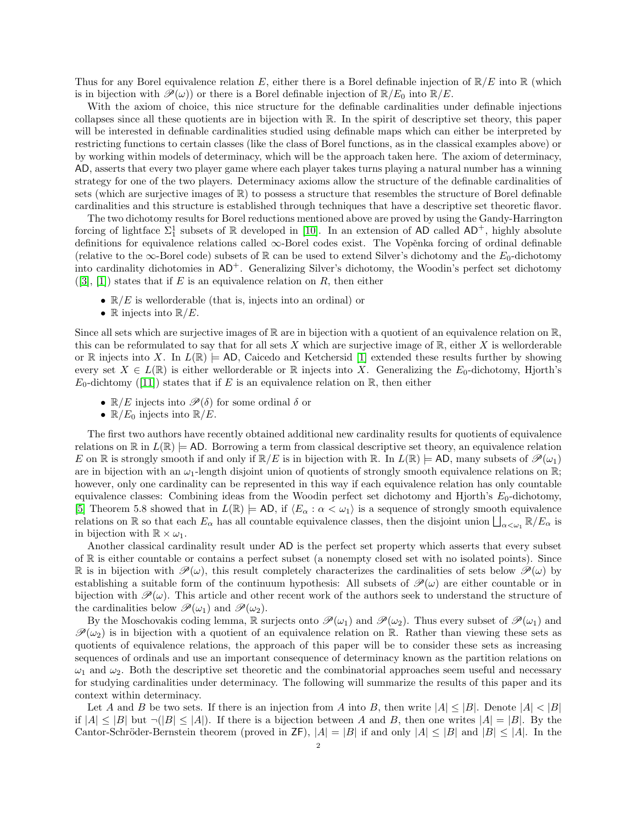Thus for any Borel equivalence relation E, either there is a Borel definable injection of  $\mathbb{R}/E$  into  $\mathbb{R}$  (which is in bijection with  $\mathscr{P}(\omega)$  or there is a Borel definable injection of  $\mathbb{R}/E_0$  into  $\mathbb{R}/E$ .

With the axiom of choice, this nice structure for the definable cardinalities under definable injections collapses since all these quotients are in bijection with R. In the spirit of descriptive set theory, this paper will be interested in definable cardinalities studied using definable maps which can either be interpreted by restricting functions to certain classes (like the class of Borel functions, as in the classical examples above) or by working within models of determinacy, which will be the approach taken here. The axiom of determinacy, AD, asserts that every two player game where each player takes turns playing a natural number has a winning strategy for one of the two players. Determinacy axioms allow the structure of the definable cardinalities of sets (which are surjective images of  $\mathbb{R}$ ) to possess a structure that resembles the structure of Borel definable cardinalities and this structure is established through techniques that have a descriptive set theoretic flavor.

The two dichotomy results for Borel reductions mentioned above are proved by using the Gandy-Harrington forcing of lightface  $\Sigma_1^1$  subsets of R developed in [\[10\]](#page-18-2). In an extension of AD called AD<sup>+</sup>, highly absolute definitions for equivalence relations called ∞-Borel codes exist. The Vopěnka forcing of ordinal definable (relative to the  $\infty$ -Borel code) subsets of R can be used to extend Silver's dichotomy and the  $E_0$ -dichotomy into cardinality dichotomies in  $AD^+$ . Generalizing Silver's dichotomy, the Woodin's perfect set dichotomy  $([3], [1])$  $([3], [1])$  $([3], [1])$  $([3], [1])$  $([3], [1])$  states that if E is an equivalence relation on R, then either

- $\mathbb{R}/E$  is wellorderable (that is, injects into an ordinal) or
- R injects into  $\mathbb{R}/E$ .

Since all sets which are surjective images of  $\mathbb R$  are in bijection with a quotient of an equivalence relation on  $\mathbb R$ . this can be reformulated to say that for all sets X which are surjective image of  $\mathbb{R}$ , either X is wellorderable or R injects into X. In  $L(\mathbb{R}) \models$  AD, Caicedo and Ketchersid [\[1\]](#page-18-4) extended these results further by showing every set  $X \in L(\mathbb{R})$  is either wellorderable or  $\mathbb R$  injects into X. Generalizing the E<sub>0</sub>-dichotomy, Hjorth's  $E_0$ -dichtomy ([\[11\]](#page-18-5)) states that if E is an equivalence relation on R, then either

- $\mathbb{R}/E$  injects into  $\mathscr{P}(\delta)$  for some ordinal  $\delta$  or
- $\mathbb{R}/E_0$  injects into  $\mathbb{R}/E$ .

The first two authors have recently obtained additional new cardinality results for quotients of equivalence relations on  $\mathbb R$  in  $L(\mathbb R) \models$  AD. Borrowing a term from classical descriptive set theory, an equivalence relation E on R is strongly smooth if and only if  $\mathbb{R}/E$  is in bijection with R. In  $L(\mathbb{R}) = AD$ , many subsets of  $\mathcal{P}(\omega_1)$ are in bijection with an  $\omega_1$ -length disjoint union of quotients of strongly smooth equivalence relations on R; however, only one cardinality can be represented in this way if each equivalence relation has only countable equivalence classes: Combining ideas from the Woodin perfect set dichotomy and Hjorth's  $E_0$ -dichotomy, [\[5\]](#page-18-6) Theorem 5.8 showed that in  $L(\mathbb{R}) \models AD$ , if  $\langle E_\alpha : \alpha < \omega_1 \rangle$  is a sequence of strongly smooth equivalence relations on  $\mathbb R$  so that each  $E_\alpha$  has all countable equivalence classes, then the disjoint union  $\bigsqcup_{\alpha<\omega_1}\mathbb R/E_\alpha$  is in bijection with  $\mathbb{R} \times \omega_1$ .

Another classical cardinality result under AD is the perfect set property which asserts that every subset of R is either countable or contains a perfect subset (a nonempty closed set with no isolated points). Since R is in bijection with  $\mathscr{P}(\omega)$ , this result completely characterizes the cardinalities of sets below  $\mathscr{P}(\omega)$  by establishing a suitable form of the continuum hypothesis: All subsets of  $\mathcal{P}(\omega)$  are either countable or in bijection with  $\mathcal{P}(\omega)$ . This article and other recent work of the authors seek to understand the structure of the cardinalities below  $\mathscr{P}(\omega_1)$  and  $\mathscr{P}(\omega_2)$ .

By the Moschovakis coding lemma, R surjects onto  $\mathcal{P}(\omega_1)$  and  $\mathcal{P}(\omega_2)$ . Thus every subset of  $\mathcal{P}(\omega_1)$  and  $\mathscr{P}(\omega_2)$  is in bijection with a quotient of an equivalence relation on R. Rather than viewing these sets as quotients of equivalence relations, the approach of this paper will be to consider these sets as increasing sequences of ordinals and use an important consequence of determinacy known as the partition relations on  $\omega_1$  and  $\omega_2$ . Both the descriptive set theoretic and the combinatorial approaches seem useful and necessary for studying cardinalities under determinacy. The following will summarize the results of this paper and its context within determinacy.

Let A and B be two sets. If there is an injection from A into B, then write  $|A| \leq |B|$ . Denote  $|A| < |B|$ if  $|A| \leq |B|$  but  $\neg(|B| \leq |A|)$ . If there is a bijection between A and B, then one writes  $|A| = |B|$ . By the Cantor-Schröder-Bernstein theorem (proved in ZF),  $|A| = |B|$  if and only  $|A| \leq |B|$  and  $|B| \leq |A|$ . In the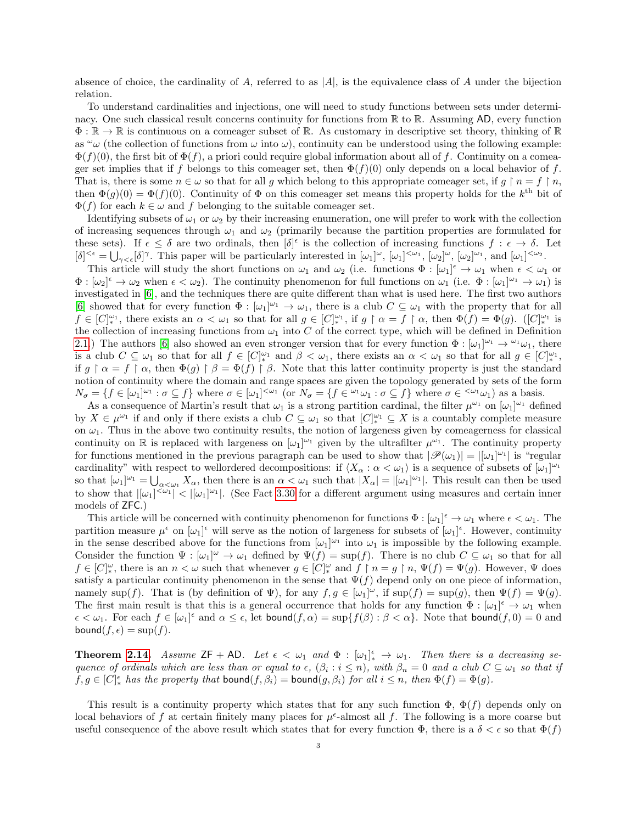absence of choice, the cardinality of A, referred to as  $|A|$ , is the equivalence class of A under the bijection relation.

To understand cardinalities and injections, one will need to study functions between sets under determinacy. One such classical result concerns continuity for functions from  $\mathbb R$  to  $\mathbb R$ . Assuming AD, every function  $\Phi: \mathbb{R} \to \mathbb{R}$  is continuous on a comeager subset of R. As customary in descriptive set theory, thinking of R as  $\omega_{\omega}$  (the collection of functions from  $\omega$  into  $\omega$ ), continuity can be understood using the following example:  $\Phi(f)(0)$ , the first bit of  $\Phi(f)$ , a priori could require global information about all of f. Continuity on a comeager set implies that if f belongs to this comeager set, then  $\Phi(f)(0)$  only depends on a local behavior of f. That is, there is some  $n \in \omega$  so that for all g which belong to this appropriate comeager set, if  $g \restriction n = f \restriction n$ , then  $\Phi(g)(0) = \Phi(f)(0)$ . Continuity of  $\Phi$  on this comeager set means this property holds for the k<sup>th</sup> bit of  $\Phi(f)$  for each  $k \in \omega$  and f belonging to the suitable comeager set.

Identifying subsets of  $\omega_1$  or  $\omega_2$  by their increasing enumeration, one will prefer to work with the collection of increasing sequences through  $\omega_1$  and  $\omega_2$  (primarily because the partition properties are formulated for these sets). If  $\epsilon \leq \delta$  are two ordinals, then  $[\delta]^{\epsilon}$  is the collection of increasing functions  $f : \epsilon \to \delta$ . Let  $[\delta]^{<\epsilon} = \bigcup_{\gamma<\epsilon} [\delta]^\gamma$ . This paper will be particularly interested in  $[\omega_1]^{\omega}$ ,  $[\omega_1]^{<\omega_1}$ ,  $[\omega_2]^{\omega}$ ,  $[\omega_2]^{\omega_1}$ , and  $[\omega_1]^{<\omega_2}$ .

This article will study the short functions on  $\omega_1$  and  $\omega_2$  (i.e. functions  $\Phi : [\omega_1]^{\epsilon} \to \omega_1$  when  $\epsilon < \omega_1$  or  $\Phi : [\omega_2]^{\epsilon} \to \omega_2$  when  $\epsilon < \omega_2$ ). The continuity phenomenon for full functions on  $\omega_1$  (i.e.  $\Phi : [\omega_1]^{\omega_1} \to \omega_1$ ) is investigated in [\[6\]](#page-18-7), and the techniques there are quite different than what is used here. The first two authors [\[6\]](#page-18-7) showed that for every function  $\Phi : [\omega_1]^{\omega_1} \to \omega_1$ , there is a club  $C \subseteq \omega_1$  with the property that for all  $f \in [C]_{*}^{\omega_1}$ , there exists an  $\alpha < \omega_1$  so that for all  $g \in [C]_{*}^{\omega_1}$ , if  $g \restriction \alpha = f \restriction \alpha$ , then  $\Phi(f) = \Phi(g)$ .  $([C]_{*}^{\omega_1}$  is the collection of increasing functions from  $\omega_1$  into C of the correct type, which will be defined in Definition [2.1.](#page-5-0)) The authors [\[6\]](#page-18-7) also showed an even stronger version that for every function  $\Phi : [\omega_1]^{\omega_1} \to {}^{\omega_1} \omega_1$ , there is a club  $C \subseteq \omega_1$  so that for all  $f \in [C]_*^{\omega_1}$  and  $\beta < \omega_1$ , there exists an  $\alpha < \omega_1$  so that for all  $g \in [C]_*^{\omega_1}$ , if  $g \restriction \alpha = f \restriction \alpha$ , then  $\Phi(g) \restriction \beta = \Phi(f) \restriction \beta$ . Note that this latter continuity property is just the standard notion of continuity where the domain and range spaces are given the topology generated by sets of the form  $N_{\sigma} = \{f \in [\omega_1]^{\omega_1} : \sigma \subseteq f\}$  where  $\sigma \in [\omega_1]^{<\omega_1}$  (or  $N_{\sigma} = \{f \in {\omega_1 \omega_1} : \sigma \subseteq f\}$  where  $\sigma \in {\omega_1 \omega_1}$ ) as a basis.

As a consequence of Martin's result that  $\omega_1$  is a strong partition cardinal, the filter  $\mu^{\omega_1}$  on  $[\omega_1]^{\omega_1}$  defined by  $X \in \mu^{\omega_1}$  if and only if there exists a club  $C \subseteq \omega_1$  so that  $[C]_{*}^{\omega_1} \subseteq X$  is a countably complete measure on  $\omega_1$ . Thus in the above two continuity results, the notion of largeness given by comeagerness for classical continuity on  $\mathbb R$  is replaced with largeness on  $[\omega_1]^{\omega_1}$  given by the ultrafilter  $\mu^{\omega_1}$ . The continuity property for functions mentioned in the previous paragraph can be used to show that  $|\mathscr{P}(\omega_1)| = |[\omega_1]^{\omega_1}|$  is "regular" cardinality" with respect to wellordered decompositions: if  $\langle X_\alpha : \alpha < \omega_1 \rangle$  is a sequence of subsets of  $[\omega_1]^{\omega_1}$ so that  $[\omega_1]^{\omega_1} = \bigcup_{\alpha < \omega_1} X_\alpha$ , then there is an  $\alpha < \omega_1$  such that  $|X_\alpha| = |[\omega_1]^{\omega_1}|$ . This result can then be used to show that  $|[\omega_1]^{<\omega_1}] < |[\omega_1]^{\omega_1}|$ . (See Fact [3.30](#page-13-0) for a different argument using measures and certain inner models of ZFC.)

This article will be concerned with continuity phenomenon for functions  $\Phi : [\omega_1]^\epsilon \to \omega_1$  where  $\epsilon < \omega_1$ . The partition measure  $\mu^{\epsilon}$  on  $[\omega_1]^{\epsilon}$  will serve as the notion of largeness for subsets of  $[\omega_1]^{\epsilon}$ . However, continuity in the sense described above for the functions from  $[\omega_1]^{\omega_1}$  into  $\omega_1$  is impossible by the following example. Consider the function  $\Psi : [\omega_1]^\omega \to \omega_1$  defined by  $\Psi(f) = \sup(f)$ . There is no club  $C \subseteq \omega_1$  so that for all  $f \in [C]_*^\omega$ , there is an  $n < \omega$  such that whenever  $g \in [C]_*^\omega$  and  $f \restriction n = g \restriction n$ ,  $\Psi(f) = \Psi(g)$ . However,  $\Psi$  does satisfy a particular continuity phenomenon in the sense that  $\Psi(f)$  depend only on one piece of information, namely sup(f). That is (by definition of  $\Psi$ ), for any  $f, g \in [\omega_1]^{\omega}$ , if  $\sup(f) = \sup(g)$ , then  $\Psi(f) = \Psi(g)$ . The first main result is that this is a general occurrence that holds for any function  $\Phi : [\omega_1]^{\epsilon} \to \omega_1$  when  $\epsilon < \omega_1$ . For each  $f \in [\omega_1]^{\epsilon}$  and  $\alpha \leq \epsilon$ , let bound $(f, \alpha) = \sup\{f(\beta) : \beta < \alpha\}$ . Note that bound $(f, 0) = 0$  and bound $(f, \epsilon) = \sup(f)$ .

**Theorem [2.14.](#page-7-0)** Assume  $ZF + AD$ . Let  $\epsilon < \omega_1$  and  $\Phi : [\omega_1]_{*}^{\epsilon} \to \omega_1$ . Then there is a decreasing sequence of ordinals which are less than or equal to  $\epsilon$ ,  $(\beta_i : i \leq n)$ , with  $\beta_n = 0$  and a club  $C \subseteq \omega_1$  so that if  $f, g \in [C]^{\epsilon}_*$  has the property that bound $(f, \beta_i) =$  bound $(g, \beta_i)$  for all  $i \leq n$ , then  $\Phi(f) = \Phi(g)$ .

This result is a continuity property which states that for any such function  $\Phi$ ,  $\Phi(f)$  depends only on local behaviors of f at certain finitely many places for  $\mu^{\epsilon}$ -almost all f. The following is a more coarse but useful consequence of the above result which states that for every function  $\Phi$ , there is a  $\delta < \epsilon$  so that  $\Phi(f)$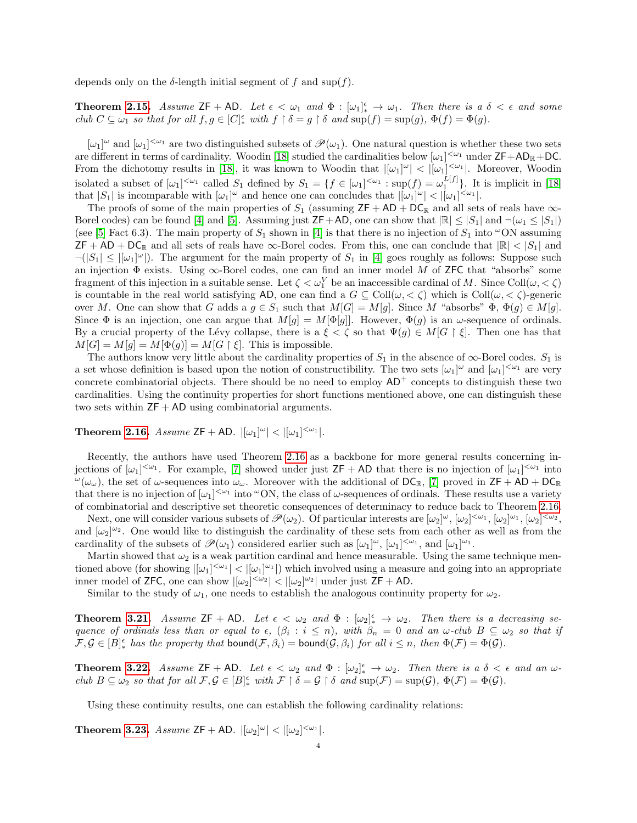depends only on the  $\delta$ -length initial segment of f and sup(f).

**Theorem [2.15.](#page-7-1)** Assume  $ZF + AD$ . Let  $\epsilon < \omega_1$  and  $\Phi : [\omega_1]_*^{\epsilon} \to \omega_1$ . Then there is a  $\delta < \epsilon$  and some club  $C \subseteq \omega_1$  so that for all  $f, g \in [C]_*^{\epsilon}$  with  $f \restriction \delta = g \restriction \delta$  and  $\text{sup}(f) = \text{sup}(g)$ ,  $\Phi(f) = \Phi(g)$ .

 $[\omega_1]^\omega$  and  $[\omega_1]^{<\omega_1}$  are two distinguished subsets of  $\mathscr{P}(\omega_1)$ . One natural question is whether these two sets are different in terms of cardinality. Woodin [\[18\]](#page-18-8) studied the cardinalities below  $[\omega_1]^{<\omega_1}$  under  $\mathsf{ZF}+\mathsf{AD}_\mathbb{R}+\mathsf{DC}$ . From the dichotomy results in [\[18\]](#page-18-8), it was known to Woodin that  $|[\omega_1]^{\omega}| < |[\omega_1]^{<\omega_1}|$ . Moreover, Woodin isolated a subset of  $[\omega_1]^{<\omega_1}$  called  $S_1$  defined by  $S_1 = \{f \in [\omega_1]^{<\omega_1} : \sup(f) = \omega_1^{L[f]} \}$ . It is implicit in [\[18\]](#page-18-8) that  $|S_1|$  is incomparable with  $[\omega_1]^\omega$  and hence one can concludes that  $|[\omega_1]^\omega| < |[\omega_1]^{<\omega_1}|$ .

The proofs of some of the main properties of  $S_1$  (assuming  $ZF + AD + DC_R$  and all sets of reals have  $\infty$ -Borel codes) can be found [\[4\]](#page-18-9) and [\[5\]](#page-18-6). Assuming just  $\mathsf{ZF}+\mathsf{AD}$ , one can show that  $|\mathbb{R}| \leq |S_1|$  and  $\neg(\omega_1 \leq |S_1|)$ (see [\[5\]](#page-18-6) Fact 6.3). The main property of  $S_1$  shown in [\[4\]](#page-18-9) is that there is no injection of  $S_1$  into  $\infty$ ON assuming  $\mathsf{ZF} + \mathsf{AD} + \mathsf{DC}_{\mathbb{R}}$  and all sets of reals have  $\infty$ -Borel codes. From this, one can conclude that  $|\mathbb{R}| < |S_1|$  and  $\neg(|S_1| \leq |[\omega_1]^{\omega}|)$ . The argument for the main property of  $S_1$  in [\[4\]](#page-18-9) goes roughly as follows: Suppose such an injection  $\Phi$  exists. Using  $\infty$ -Borel codes, one can find an inner model M of ZFC that "absorbs" some fragment of this injection in a suitable sense. Let  $\zeta < \omega_1^V$  be an inaccessible cardinal of M. Since Coll $(\omega, < \zeta)$ is countable in the real world satisfying AD, one can find a  $G \subseteq Coll(\omega, < \zeta)$  which is  $Coll(\omega, < \zeta)$ -generic over M. One can show that G adds a  $g \in S_1$  such that  $M[G] = M[g]$ . Since M "absorbs"  $\Phi$ ,  $\Phi(g) \in M[g]$ . Since  $\Phi$  is an injection, one can argue that  $M[g] = M[\Phi[g]]$ . However,  $\Phi(g)$  is an  $\omega$ -sequence of ordinals. By a crucial property of the Lévy collapse, there is a  $\xi < \zeta$  so that  $\Psi(g) \in M[G \restriction \xi]$ . Then one has that  $M[G] = M[g] = M[\Phi(g)] = M[G \restriction \xi]$ . This is impossible.

The authors know very little about the cardinality properties of  $S_1$  in the absence of  $\infty$ -Borel codes.  $S_1$  is a set whose definition is based upon the notion of constructibility. The two sets  $[\omega_1]^\omega$  and  $[\omega_1]^{<\omega_1}$  are very concrete combinatorial objects. There should be no need to employ  $AD^+$  concepts to distinguish these two cardinalities. Using the continuity properties for short functions mentioned above, one can distinguish these two sets within  $ZF + AD$  using combinatorial arguments.

**Theorem [2.16.](#page-7-2)** Assume  $ZF + AD$ .  $|[\omega_1]^{\omega}| < |[\omega_1]^{<\omega_1}|$ .

Recently, the authors have used Theorem [2.16](#page-7-2) as a backbone for more general results concerning injections of  $[\omega_1]^{<\omega_1}$ . For example, [\[7\]](#page-18-10) showed under just ZF + AD that there is no injection of  $[\omega_1]^{<\omega_1}$  into  $\omega(\omega_\omega)$ , the set of  $\omega$ -sequences into  $\omega_\omega$ . Moreover with the additional of  $DC_{\mathbb{R}}$ , [\[7\]](#page-18-10) proved in  $ZF + AD + DC_{\mathbb{R}}$ that there is no injection of  $[\omega_1]^{<\omega_1}$  into  $\omega$ ON, the class of  $\omega$ -sequences of ordinals. These results use a variety of combinatorial and descriptive set theoretic consequences of determinacy to reduce back to Theorem [2.16.](#page-7-2)

Next, one will consider various subsets of  $\mathscr{P}(\omega_2)$ . Of particular interests are  $[\omega_2]^{\omega}$ ,  $[\omega_2]^{<\omega_1}$ ,  $[\omega_2]^{<\omega_2}$ , and  $[\omega_2]^{\omega_2}$ . One would like to distinguish the cardinality of these sets from each other as well as from the cardinality of the subsets of  $\mathscr{P}(\omega_1)$  considered earlier such as  $[\omega_1]^{\omega}$ ,  $[\omega_1]^{<\omega_1}$ , and  $[\omega_1]^{\omega_1}$ .

Martin showed that  $\omega_2$  is a weak partition cardinal and hence measurable. Using the same technique mentioned above (for showing  $|[\omega_1]^{<\omega_1}| < |[\omega_1]^{\omega_1}|$ ) which involved using a measure and going into an appropriate inner model of ZFC, one can show  $|[\omega_2]^{<\omega_2}| < |[\omega_2]^{\omega_2}|$  under just ZF + AD.

Similar to the study of  $\omega_1$ , one needs to establish the analogous continuity property for  $\omega_2$ .

**Theorem [3.21.](#page-11-0)** Assume  $ZF + AD$ . Let  $\epsilon < \omega_2$  and  $\Phi : [\omega_2]_{*}^{\epsilon} \to \omega_2$ . Then there is a decreasing sequence of ordinals less than or equal to  $\epsilon$ ,  $(\beta_i : i \leq n)$ , with  $\beta_n = 0$  and an  $\omega$ -club  $B \subseteq \omega_2$  so that if  $\mathcal{F}, \mathcal{G} \in [B]^{\epsilon}_{*}$  has the property that bound $(\mathcal{F}, \beta_i) =$  bound $(\mathcal{G}, \beta_i)$  for all  $i \leq n$ , then  $\Phi(\mathcal{F}) = \Phi(\mathcal{G})$ .

**Theorem [3.22.](#page-11-1)** Assume  $ZF + AD$ . Let  $\epsilon < \omega_2$  and  $\Phi : [\omega_2]_*^{\epsilon} \to \omega_2$ . Then there is a  $\delta < \epsilon$  and an  $\omega$ club  $B \subseteq \omega_2$  so that for all  $\mathcal{F}, \mathcal{G} \in [B]_*^{\epsilon}$  with  $\mathcal{F} \restriction \delta = \mathcal{G} \restriction \delta$  and  $\text{sup}(\mathcal{F}) = \text{sup}(\mathcal{G}), \Phi(\mathcal{F}) = \Phi(\mathcal{G}).$ 

Using these continuity results, one can establish the following cardinality relations:

**Theorem [3.23.](#page-11-2)** Assume  $ZF + AD$ .  $|[\omega_2]^{\omega}| < |[\omega_2]^{\omega_1}|$ .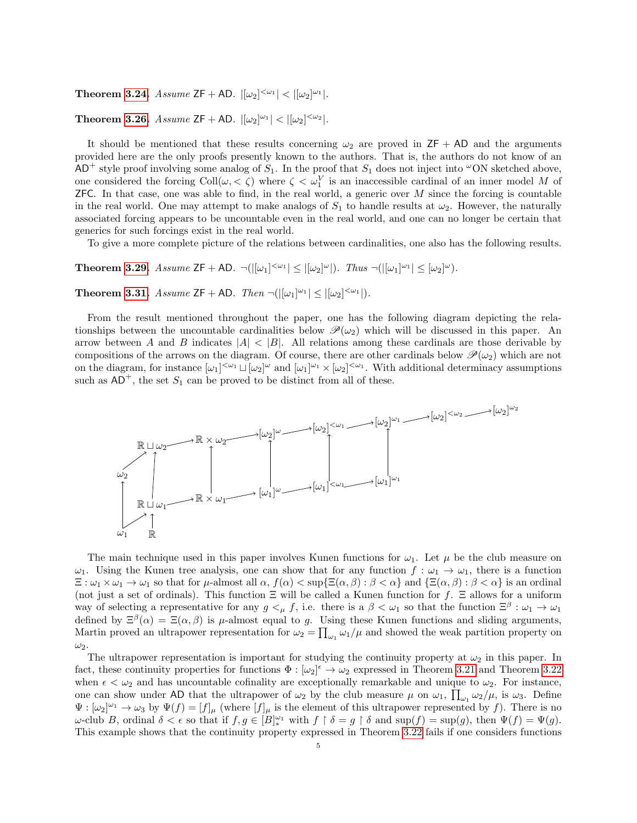**Theorem [3.24.](#page-12-0)** Assume  $ZF + AD$ .  $|[\omega_2]^{< \omega_1}| < |[\omega_2]^{\omega_1}|$ .

## **Theorem [3.26.](#page-12-1)** Assume  $ZF + AD$ .  $|[\omega_2]^{\omega_1}| < |[\omega_2]^{\omega_2}|$ .

It should be mentioned that these results concerning  $\omega_2$  are proved in  $ZF + AD$  and the arguments provided here are the only proofs presently known to the authors. That is, the authors do not know of an  $AD^+$  style proof involving some analog of  $S_1$ . In the proof that  $S_1$  does not inject into  $\omega$ ON sketched above, one considered the forcing  $\text{Coll}(\omega, < \zeta)$  where  $\zeta < \omega_1^V$  is an inaccessible cardinal of an inner model M of **ZFC.** In that case, one was able to find, in the real world, a generic over  $M$  since the forcing is countable in the real world. One may attempt to make analogs of  $S_1$  to handle results at  $\omega_2$ . However, the naturally associated forcing appears to be uncountable even in the real world, and one can no longer be certain that generics for such forcings exist in the real world.

To give a more complete picture of the relations between cardinalities, one also has the following results.

**Theorem [3.29.](#page-13-1)** Assume  $\mathsf{ZF} + \mathsf{AD}. \ \ \neg(|[\omega_1]^{<\omega_1}] \leq |[\omega_2]^\omega|)$ . Thus  $\neg(|[\omega_1]^{\omega_1}] \leq [\omega_2]^\omega)$ .

**Theorem [3.31.](#page-14-0)** Assume  $ZF + AD$ . Then  $\neg(|[\omega_1]^{\omega_1}| \leq |[\omega_2]^{\langle \omega_1}|)$ .

From the result mentioned throughout the paper, one has the following diagram depicting the relationships between the uncountable cardinalities below  $\mathscr{P}(\omega_2)$  which will be discussed in this paper. An arrow between A and B indicates  $|A| < |B|$ . All relations among these cardinals are those derivable by compositions of the arrows on the diagram. Of course, there are other cardinals below  $\mathcal{P}(\omega_2)$  which are not on the diagram, for instance  $[\omega_1]^{<\omega_1} \sqcup [\omega_2]^{<\omega}$  and  $[\omega_1]^{\omega_1} \times [\omega_2]^{<\omega_1}$ . With additional determinacy assumptions such as  $AD^+$ , the set  $S_1$  can be proved to be distinct from all of these.



The main technique used in this paper involves Kunen functions for  $\omega_1$ . Let  $\mu$  be the club measure on  $\omega_1$ . Using the Kunen tree analysis, one can show that for any function  $f : \omega_1 \to \omega_1$ , there is a function  $\Xi: \omega_1 \times \omega_1 \to \omega_1$  so that for  $\mu$ -almost all  $\alpha$ ,  $f(\alpha) < \sup\{\Xi(\alpha,\beta) : \beta < \alpha\}$  and  $\{\Xi(\alpha,\beta) : \beta < \alpha\}$  is an ordinal (not just a set of ordinals). This function  $\Xi$  will be called a Kunen function for f.  $\Xi$  allows for a uniform way of selecting a representative for any  $g \lt_{\mu} f$ , i.e. there is a  $\beta \lt \omega_1$  so that the function  $\Xi^{\beta} : \omega_1 \to \omega_1$ defined by  $\Xi^{\beta}(\alpha) = \Xi(\alpha,\beta)$  is  $\mu$ -almost equal to g. Using these Kunen functions and sliding arguments, Martin proved an ultrapower representation for  $\omega_2 = \prod_{\omega_1} \omega_1/\mu$  and showed the weak partition property on  $\omega_2$ .

The ultrapower representation is important for studying the continuity property at  $\omega_2$  in this paper. In fact, these continuity properties for functions  $\Phi : [\omega_2]^{\epsilon} \to \omega_2$  expressed in Theorem [3.21](#page-11-0) and Theorem [3.22](#page-11-1) when  $\epsilon < \omega_2$  and has uncountable cofinality are exceptionally remarkable and unique to  $\omega_2$ . For instance, one can show under AD that the ultrapower of  $\omega_2$  by the club measure  $\mu$  on  $\omega_1$ ,  $\prod_{\omega_1} \omega_2/\mu$ , is  $\omega_3$ . Define  $\Psi : [\omega_2]^{\omega_1} \to \omega_3$  by  $\Psi(f) = [f]_\mu$  (where  $[f]_\mu$  is the element of this ultrapower represented by f). There is no  $\omega$ -club B, ordinal  $\delta < \epsilon$  so that if  $f, g \in [B]_{*}^{\omega_1}$  with  $f \restriction \delta = g \restriction \delta$  and  $\sup(f) = \sup(g)$ , then  $\Psi(f) = \Psi(g)$ . This example shows that the continuity property expressed in Theorem [3.22](#page-11-1) fails if one considers functions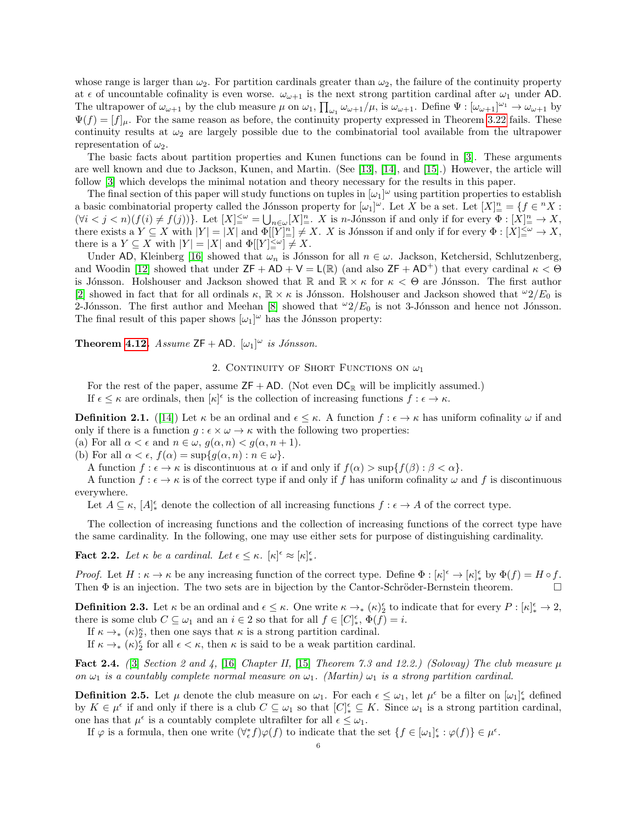whose range is larger than  $\omega_2$ . For partition cardinals greater than  $\omega_2$ , the failure of the continuity property at  $\epsilon$  of uncountable cofinality is even worse.  $\omega_{\omega+1}$  is the next strong partition cardinal after  $\omega_1$  under AD. The ultrapower of  $\omega_{\omega+1}$  by the club measure  $\mu$  on  $\omega_1$ ,  $\prod_{\omega_1} \omega_{\omega+1}/\mu$ , is  $\omega_{\omega+1}$ . Define  $\Psi : [\omega_{\omega+1}]^{\omega_1} \to \omega_{\omega+1}$  by  $\Psi(f) = [f]_{\mu}$ . For the same reason as before, the continuity property expressed in Theorem [3.22](#page-11-1) fails. These continuity results at  $\omega_2$  are largely possible due to the combinatorial tool available from the ultrapower representation of  $\omega_2$ .

The basic facts about partition properties and Kunen functions can be found in [\[3\]](#page-18-3). These arguments are well known and due to Jackson, Kunen, and Martin. (See [\[13\]](#page-18-11), [\[14\]](#page-18-12), and [\[15\]](#page-18-13).) However, the article will follow [\[3\]](#page-18-3) which develops the minimal notation and theory necessary for the results in this paper.

The final section of this paper will study functions on tuples in  $[\omega_1]^\omega$  using partition properties to establish a basic combinatorial property called the Jónsson property for  $[\omega_1]^\omega$ . Let X be a set. Let  $[X]_+^n = \{f \in {}^n X :$  $(\forall i < j < n)(f(i) \neq f(j))\}$ . Let  $[X]_{=}^{\leq \omega} = \bigcup_{n \in \omega} [X]_{=}^n$ . X is n-Jónsson if and only if for every  $\Phi : [X]_{=}^n \to X$ , there exists a  $Y \subseteq X$  with  $|Y| = |X|$  and  $\Phi[[Y]]^n \neq X$ . X is Jónsson if and only if for every  $\Phi : [X] \leq \omega \to X$ , there is a  $Y \subseteq X$  with  $|Y| = |X|$  and  $\Phi[[Y] \leq^{\omega}] \neq X$ .

Under AD, Kleinberg [\[16\]](#page-18-14) showed that  $\omega_n$  is Jónsson for all  $n \in \omega$ . Jackson, Ketchersid, Schlutzenberg, and Woodin [\[12\]](#page-18-15) showed that under  $ZF + AD + V = L(\mathbb{R})$  (and also  $ZF + AD^+$ ) that every cardinal  $\kappa < \Theta$ is Jónsson. Holshouser and Jackson showed that R and  $\mathbb{R} \times \kappa$  for  $\kappa < \Theta$  are Jónsson. The first author [\[2\]](#page-18-16) showed in fact that for all ordinals  $\kappa$ ,  $\mathbb{R} \times \kappa$  is Jónsson. Holshouser and Jackson showed that  $\omega_2/E_0$  is 2-Jónsson. The first author and Meehan [\[8\]](#page-18-17) showed that  $\omega_2/E_0$  is not 3-Jónsson and hence not Jónsson. The final result of this paper shows  $[\omega_1]^\omega$  has the Jónsson property:

**Theorem [4.12.](#page-17-0)** Assume  $ZF + AD$ .  $[\omega_1]^{\omega}$  is Jónsson.

2. CONTINUITY OF SHORT FUNCTIONS ON  $\omega_1$ 

For the rest of the paper, assume  $ZF + AD$ . (Not even  $DC_{\mathbb{R}}$  will be implicitly assumed.) If  $\epsilon \leq \kappa$  are ordinals, then  $[\kappa]^{\epsilon}$  is the collection of increasing functions  $f : \epsilon \to \kappa$ .

<span id="page-5-0"></span>**Definition 2.1.** ([\[14\]](#page-18-12)) Let  $\kappa$  be an ordinal and  $\epsilon \leq \kappa$ . A function  $f : \epsilon \to \kappa$  has uniform cofinality  $\omega$  if and only if there is a function  $q : \epsilon \times \omega \to \kappa$  with the following two properties:

(a) For all  $\alpha < \epsilon$  and  $n \in \omega$ ,  $g(\alpha, n) < g(\alpha, n+1)$ .

(b) For all  $\alpha < \epsilon$ ,  $f(\alpha) = \sup\{g(\alpha, n) : n \in \omega\}.$ 

A function  $f : \epsilon \to \kappa$  is discontinuous at  $\alpha$  if and only if  $f(\alpha) > \sup\{f(\beta) : \beta < \alpha\}.$ 

A function  $f : \epsilon \to \kappa$  is of the correct type if and only if f has uniform cofinality  $\omega$  and f is discontinuous everywhere.

Let  $A \subseteq \kappa$ ,  $[A]_{*}^{\epsilon}$  denote the collection of all increasing functions  $f : \epsilon \to A$  of the correct type.

The collection of increasing functions and the collection of increasing functions of the correct type have the same cardinality. In the following, one may use either sets for purpose of distinguishing cardinality.

**Fact 2.2.** Let  $\kappa$  be a cardinal. Let  $\epsilon \leq \kappa$ .  $[\kappa]^\epsilon \approx [\kappa]_*^\epsilon$ .

Proof. Let  $H : \kappa \to \kappa$  be any increasing function of the correct type. Define  $\Phi : [\kappa]^\epsilon \to [\kappa]^\epsilon_*$  by  $\Phi(f) = H \circ f$ . Then  $\Phi$  is an injection. The two sets are in bijection by the Cantor-Schröder-Bernstein theorem.  $\Box$ 

**Definition 2.3.** Let  $\kappa$  be an ordinal and  $\epsilon \leq \kappa$ . One write  $\kappa \to_{*} (\kappa)_{2}^{\epsilon}$  to indicate that for every  $P : [\kappa]_{*}^{\epsilon} \to 2$ , there is some club  $C \subseteq \omega_1$  and an  $i \in 2$  so that for all  $f \in [C]_*^{\epsilon}$ ,  $\Phi(f) = i$ .

If  $\kappa \to_{\ast} (\kappa)_{2}^{\kappa}$ , then one says that  $\kappa$  is a strong partition cardinal.

If  $\kappa \to_{\ast} (\kappa)_{2}^{\epsilon}$  for all  $\epsilon < \kappa$ , then  $\kappa$  is said to be a weak partition cardinal.

**Fact 2.4.** ([\[3\]](#page-18-3) Section 2 and 4, [\[16\]](#page-18-14) Chapter II, [\[15\]](#page-18-13) Theorem 7.3 and 12.2.) (Solovay) The club measure  $\mu$ on  $\omega_1$  is a countably complete normal measure on  $\omega_1$ . (Martin)  $\omega_1$  is a strong partition cardinal.

**Definition 2.5.** Let  $\mu$  denote the club measure on  $\omega_1$ . For each  $\epsilon \leq \omega_1$ , let  $\mu^{\epsilon}$  be a filter on  $[\omega_1]_{*}^{\epsilon}$  defined by  $K \in \mu^{\epsilon}$  if and only if there is a club  $C \subseteq \omega_1$  so that  $[C]_{*}^{\epsilon} \subseteq K$ . Since  $\omega_1$  is a strong partition cardinal, one has that  $\mu^{\epsilon}$  is a countably complete ultrafilter for all  $\epsilon \leq \omega_1$ .

If  $\varphi$  is a formula, then one write  $(\forall_{\epsilon}^* f)\varphi(f)$  to indicate that the set  $\{f \in [\omega_1]_*^{\epsilon} : \varphi(f)\} \in \mu^{\epsilon}$ .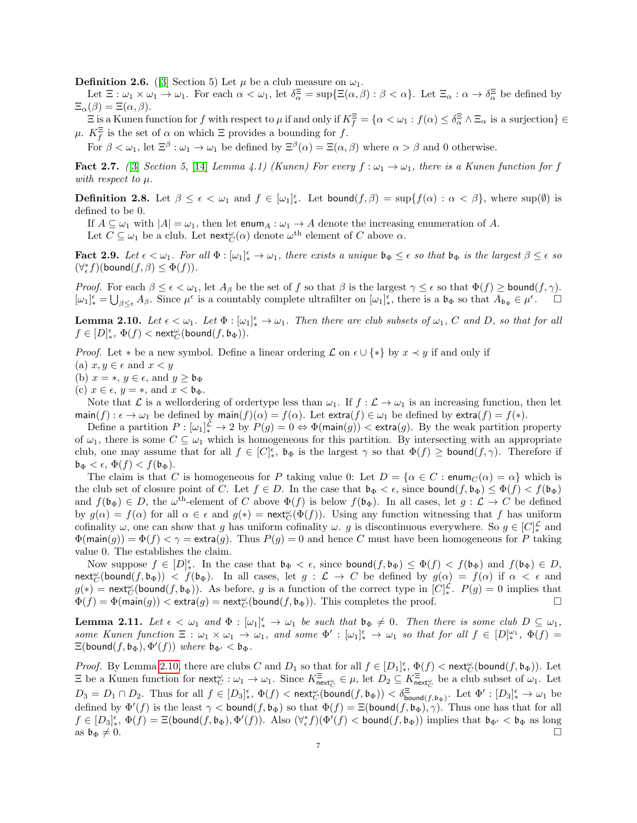**Definition 2.6.** ([\[3\]](#page-18-3) Section 5) Let  $\mu$  be a club measure on  $\omega_1$ .

Let  $\Xi: \omega_1 \times \omega_1 \to \omega_1$ . For each  $\alpha < \omega_1$ , let  $\delta_{\alpha}^{\Xi} = \sup \{ \Xi(\alpha, \beta) : \beta < \alpha \}$ . Let  $\Xi_{\alpha}: \alpha \to \delta_{\alpha}^{\Xi}$  be defined by  $\Xi_{\alpha}(\beta) = \Xi(\alpha, \beta).$ 

 $\Xi$  is a Kunen function for f with respect to  $\mu$  if and only if  $K_f^{\Xi} = {\alpha < \omega_1 : f(\alpha) \leq \delta_{\alpha}^{\Xi} \wedge \Xi_{\alpha}}$  is a surjection  $\} \in$  $\mu$ .  $K_f^{\Xi}$  is the set of  $\alpha$  on which  $\Xi$  provides a bounding for f.

For  $\beta < \omega_1$ , let  $\Xi^{\beta} : \omega_1 \to \omega_1$  be defined by  $\Xi^{\beta}(\alpha) = \Xi(\alpha, \beta)$  where  $\alpha > \beta$  and 0 otherwise.

**Fact 2.7.** ([\[3\]](#page-18-3) Section 5, [\[14\]](#page-18-12) Lemma 4.1) (Kunen) For every  $f: \omega_1 \to \omega_1$ , there is a Kunen function for f with respect to  $\mu$ .

**Definition 2.8.** Let  $\beta \leq \epsilon < \omega_1$  and  $f \in [\omega_1]_*^{\epsilon}$ . Let bound $(f, \beta) = \sup\{f(\alpha) : \alpha < \beta\}$ , where  $\sup(\emptyset)$  is defined to be 0.

If  $A \subseteq \omega_1$  with  $|A| = \omega_1$ , then let enum<sub>A</sub> :  $\omega_1 \to A$  denote the increasing enumeration of A.

Let  $C \subseteq \omega_1$  be a club. Let  $\operatorname{\sf next}^\omega_C(\alpha)$  denote  $\omega^{\text{th}}$  element of C above  $\alpha$ .

**Fact 2.9.** Let  $\epsilon < \omega_1$ . For all  $\Phi : [\omega_1]_*^{\epsilon} \to \omega_1$ , there exists a unique  $\mathfrak{b}_{\Phi} \leq \epsilon$  so that  $\mathfrak{b}_{\Phi}$  is the largest  $\beta \leq \epsilon$  so  $(\forall_{\epsilon}^* f)(\mathsf{bound}(f,\beta) \leq \Phi(f)).$ 

*Proof.* For each  $\beta \leq \epsilon < \omega_1$ , let  $A_\beta$  be the set of f so that  $\beta$  is the largest  $\gamma \leq \epsilon$  so that  $\Phi(f) \geq \text{bound}(f, \gamma)$ .  $[\omega_1]_\ast^\epsilon = \bigcup_{\beta \leq \epsilon} A_\beta$ . Since  $\mu^\epsilon$  is a countably complete ultrafilter on  $[\omega_1]_\ast^\epsilon$ , there is a  $\mathfrak{b}_\Phi$  so that  $A_{\mathfrak{b}_\Phi} \in \mu^\epsilon$ .

<span id="page-6-0"></span>**Lemma 2.10.** Let  $\epsilon < \omega_1$ . Let  $\Phi : [\omega_1]^{\epsilon} \to \omega_1$ . Then there are club subsets of  $\omega_1$ , C and D, so that for all  $f\in [D]_*^\epsilon, \ \Phi(f)<\mathsf{next}^\omega_C(\mathsf{bound}(f, \mathfrak{b}_\Phi)).$ 

*Proof.* Let  $*$  be a new symbol. Define a linear ordering  $\mathcal L$  on  $\epsilon \cup \{*\}$  by  $x \prec y$  if and only if

(a)  $x, y \in \epsilon$  and  $x < y$ 

(b)  $x = *, y \in \epsilon$ , and  $y \geq \mathfrak{b}_{\Phi}$ 

(c)  $x \in \epsilon$ ,  $y = *$ , and  $x < b_{\Phi}$ .

Note that L is a wellordering of ordertype less than  $\omega_1$ . If  $f : \mathcal{L} \to \omega_1$  is an increasing function, then let  $\text{main}(f) : \epsilon \to \omega_1$  be defined by  $\text{main}(f)(\alpha) = f(\alpha)$ . Let  $\text{extra}(f) \in \omega_1$  be defined by  $\text{extra}(f) = f(*)$ .

Define a partition  $P: [\omega_1]^{\mathcal{L}}_* \to 2$  by  $P(g) = 0 \Leftrightarrow \Phi(\text{main}(g)) < \text{extra}(g)$ . By the weak partition property of  $\omega_1$ , there is some  $C \subseteq \omega_1$  which is homogeneous for this partition. By intersecting with an appropriate club, one may assume that for all  $f \in [C]_*^{\epsilon}$ ,  $\mathfrak{b}_{\Phi}$  is the largest  $\gamma$  so that  $\Phi(f) \geq \text{bound}(f, \gamma)$ . Therefore if  $\mathfrak{b}_{\Phi} < \epsilon, \, \Phi(f) < f(\mathfrak{b}_{\Phi}).$ 

The claim is that C is homogeneous for P taking value 0: Let  $D = \{ \alpha \in C : \text{enum}_C(\alpha) = \alpha \}$  which is the club set of closure point of C. Let  $f \in D$ . In the case that  $\mathfrak{b}_{\Phi} < \epsilon$ , since bound $(f, \mathfrak{b}_{\Phi}) \leq \Phi(f) < f(\mathfrak{b}_{\Phi})$ and  $f(\mathfrak{b}_{\Phi}) \in D$ , the  $\omega^{\text{th}}$ -element of C above  $\Phi(f)$  is below  $f(\mathfrak{b}_{\Phi})$ . In all cases, let  $g: \mathcal{L} \to C$  be defined by  $g(\alpha) = f(\alpha)$  for all  $\alpha \in \epsilon$  and  $g(*) = \text{next}_{C}^{\omega}(\Phi(f))$ . Using any function witnessing that f has uniform cofinality  $\omega$ , one can show that g has uniform cofinality  $\omega$ . g is discontinuous everywhere. So  $g \in [C]_*^{\mathcal{L}}$  and  $\Phi(\text{main}(g)) = \Phi(f) < \gamma = \text{extra}(g)$ . Thus  $P(g) = 0$  and hence C must have been homogeneous for P taking value 0. The establishes the claim.

Now suppose  $f \in [D]_{*}^{\epsilon}$ . In the case that  $\mathfrak{b}_{\Phi} < \epsilon$ , since bound $(f, \mathfrak{b}_{\Phi}) \leq \Phi(f) < f(\mathfrak{b}_{\Phi})$  and  $f(\mathfrak{b}_{\Phi}) \in D$ ,  $\mathsf{next}_{C}^{\omega}(\mathsf{bound}(f, \mathfrak{b}_{\Phi}))$  <  $f(\mathfrak{b}_{\Phi})$ . In all cases, let  $g: \mathcal{L} \to C$  be defined by  $g(\alpha) = f(\alpha)$  if  $\alpha < \epsilon$  and  $g(*)$  = next<sup>ω</sup> (bound(f, b<sub>Φ</sub>)). As before, g is a function of the correct type in  $[C]_{*}^{\mathcal{L}}$ .  $P(g) = 0$  implies that  $\Phi(f) = \Phi(\mathsf{main}(g)) < \mathsf{extra}(g) = \mathsf{next}_{C}^{\omega}(\mathsf{bound}(f, \mathfrak{b}_{\Phi})).$  This completes the proof.

<span id="page-6-1"></span>**Lemma 2.11.** Let  $\epsilon < \omega_1$  and  $\Phi : [\omega_1]_*^{\epsilon} \to \omega_1$  be such that  $\mathfrak{b}_{\Phi} \neq 0$ . Then there is some club  $D \subseteq \omega_1$ , some Kunen function  $\Xi : \omega_1 \times \omega_1 \to \omega_1$ , and some  $\Phi' : [\omega_1]_*^{\epsilon} \to \omega_1$  so that for all  $f \in [D]_{*}^{\omega_1}$ ,  $\Phi(f) =$  $\Xi(\text{bound}(f, \mathfrak{b}_{\Phi}), \Phi'(f))$  where  $\mathfrak{b}_{\Phi'} < \mathfrak{b}_{\Phi}$ .

*Proof.* By Lemma [2.10,](#page-6-0) there are clubs C and  $D_1$  so that for all  $f \in [D_1]_{*}^{\epsilon}$ ,  $\Phi(f) < \text{next}_{C}^{\omega}(\text{bound}(f, \mathfrak{b}_{\Phi}))$ . Let  $\Xi$  be a Kunen function for next $_{C}^{\omega}: \omega_1 \to \omega_1$ . Since  $K_{\text{next}_{C}^{\omega}}^{\Xi} \in \mu$ , let  $D_2 \subseteq K_{\text{next}_{C}^{\omega}}^{\Xi}$  be a club subset of  $\omega_1$ . Let  $D_3 = D_1 \cap D_2$ . Thus for all  $f \in [D_3]^{\epsilon}_{*}$ ,  $\Phi(f) < \text{next}_{C}^{\infty}(\text{bound}(f, \mathfrak{b}_{\Phi})) < \delta_{\text{bound}(f, \mathfrak{b}_{\Phi})}^{\epsilon}$ . Let  $\Phi' : [D_3]^{\epsilon}_{*} \to \omega_1$  be defined by  $\Phi'(f)$  is the least  $\gamma <$  bound $(f, \mathfrak{b}_{\Phi})$  so that  $\Phi(f) = \Xi(\text{bound}(f, \mathfrak{b}_{\Phi}), \gamma)$ . Thus one has that for all  $f \in [D_3]_{\ast}^{\epsilon}$ ,  $\Phi(f) = \Xi(\text{bound}(f, \mathfrak{b}_{\Phi}), \Phi'(f))$ . Also  $(\forall_{\epsilon}^* f)(\Phi'(f) < \text{bound}(f, \mathfrak{b}_{\Phi}))$  implies that  $\mathfrak{b}_{\Phi'} < \mathfrak{b}_{\Phi}$  as long as  $\mathfrak{b}_{\Phi}\neq 0$ .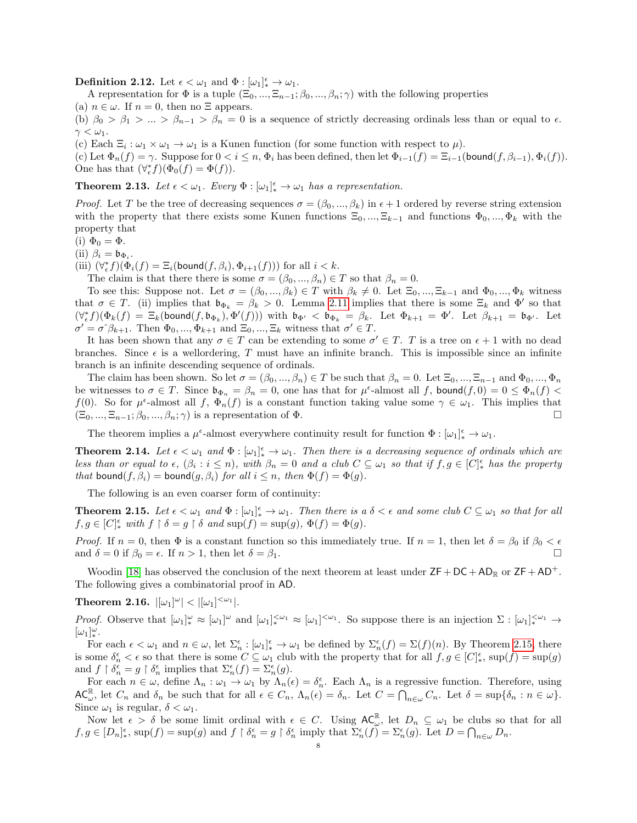**Definition 2.12.** Let  $\epsilon < \omega_1$  and  $\Phi : [\omega_1]_*^{\epsilon} \to \omega_1$ .

A representation for  $\Phi$  is a tuple  $(\Xi_0, ..., \Xi_{n-1}; \beta_0, ..., \beta_n; \gamma)$  with the following properties (a)  $n \in \omega$ . If  $n = 0$ , then no  $\Xi$  appears.

(b)  $\beta_0 > \beta_1 > ... > \beta_{n-1} > \beta_n = 0$  is a sequence of strictly decreasing ordinals less than or equal to  $\epsilon$ .  $\gamma < \omega_1$ .

(c) Each  $\Xi_i : \omega_1 \times \omega_1 \to \omega_1$  is a Kunen function (for some function with respect to  $\mu$ ).

(c) Let  $\Phi_n(f) = \gamma$ . Suppose for  $0 < i \leq n$ ,  $\Phi_i$  has been defined, then let  $\Phi_{i-1}(f) = \Xi_{i-1}(\text{bound}(f, \beta_{i-1}), \Phi_i(f))$ . One has that  $(\forall_{\epsilon}^* f)(\Phi_0(f) = \Phi(f)).$ 

<span id="page-7-3"></span>**Theorem 2.13.** Let  $\epsilon < \omega_1$ . Every  $\Phi : [\omega_1]_*^{\epsilon} \to \omega_1$  has a representation.

*Proof.* Let T be the tree of decreasing sequences  $\sigma = (\beta_0, ..., \beta_k)$  in  $\epsilon + 1$  ordered by reverse string extension with the property that there exists some Kunen functions  $\Xi_0, ..., \Xi_{k-1}$  and functions  $\Phi_0, ..., \Phi_k$  with the property that

(i)  $\Phi_0 = \Phi$ .

(ii)  $\beta_i = \mathfrak{b}_{\Phi_i}$ .

(iii)  $(\forall_{\epsilon}^* f)(\Phi_i(f) = \Xi_i(\text{bound}(f, \beta_i), \Phi_{i+1}(f)))$  for all  $i < k$ .

The claim is that there there is some  $\sigma = (\beta_0, ..., \beta_n) \in T$  so that  $\beta_n = 0$ .

To see this: Suppose not. Let  $\sigma = (\beta_0, ..., \beta_k) \in T$  with  $\beta_k \neq 0$ . Let  $\Xi_0, ..., \Xi_{k-1}$  and  $\Phi_0, ..., \Phi_k$  witness that  $\sigma \in T$ . (ii) implies that  $\mathfrak{b}_{\Phi_k} = \beta_k > 0$ . Lemma [2.11](#page-6-1) implies that there is some  $\Xi_k$  and  $\Phi'$  so that  $(\forall_{\epsilon}^* f)(\Phi_k(f) = \Xi_k(\text{bound}(f, \mathfrak{b}_{\Phi_k}), \Phi'(f)))$  with  $\mathfrak{b}_{\Phi'} < \mathfrak{b}_{\Phi_k} = \beta_k$ . Let  $\Phi_{k+1} = \Phi'$ . Let  $\beta_{k+1} = \mathfrak{b}_{\Phi'}$ . Let  $\sigma' = \sigma^2 \beta_{k+1}$ . Then  $\Phi_0, ..., \Phi_{k+1}$  and  $\Xi_0, ..., \Xi_k$  witness that  $\sigma' \in T$ .

It has been shown that any  $\sigma \in T$  can be extending to some  $\sigma' \in T$ . T is a tree on  $\epsilon + 1$  with no dead branches. Since  $\epsilon$  is a wellordering, T must have an infinite branch. This is impossible since an infinite branch is an infinite descending sequence of ordinals.

The claim has been shown. So let  $\sigma = (\beta_0, ..., \beta_n) \in T$  be such that  $\beta_n = 0$ . Let  $\Xi_0, ..., \Xi_{n-1}$  and  $\Phi_0, ..., \Phi_n$ be witnesses to  $\sigma \in T$ . Since  $\mathfrak{b}_{\Phi_n} = \beta_n = 0$ , one has that for  $\mu^{\epsilon}$ -almost all f, bound $(f, 0) = 0 \leq \Phi_n(f)$ f(0). So for  $\mu^{\epsilon}$ -almost all f,  $\Phi_n(f)$  is a constant function taking value some  $\gamma \in \omega_1$ . This implies that  $(\Xi_0, ..., \Xi_{n-1}; \beta_0, ..., \beta_n; \gamma)$  is a representation of  $\Phi$ .

The theorem implies a  $\mu^{\epsilon}$ -almost everywhere continuity result for function  $\Phi : [\omega_{1}]_{*}^{\epsilon} \to \omega_{1}$ .

<span id="page-7-0"></span>**Theorem 2.14.** Let  $\epsilon < \omega_1$  and  $\Phi : [\omega_1]_*^{\epsilon} \to \omega_1$ . Then there is a decreasing sequence of ordinals which are less than or equal to  $\epsilon$ ,  $(\beta_i : i \leq n)$ , with  $\beta_n = 0$  and a club  $C \subseteq \omega_1$  so that if  $f, g \in [C]_*^{\epsilon}$  has the property that bound $(f, \beta_i)$  = bound $(g, \beta_i)$  for all  $i \leq n$ , then  $\Phi(f) = \Phi(g)$ .

The following is an even coarser form of continuity:

<span id="page-7-1"></span>**Theorem 2.15.** Let  $\epsilon < \omega_1$  and  $\Phi : [\omega_1]_*^{\epsilon} \to \omega_1$ . Then there is a  $\delta < \epsilon$  and some club  $C \subseteq \omega_1$  so that for all  $f, g \in [C]_*^{\epsilon}$  with  $f \restriction \delta = g \restriction \delta$  and  $\sup(f) = \sup(g), \Phi(f) = \Phi(g)$ .

*Proof.* If  $n = 0$ , then  $\Phi$  is a constant function so this immediately true. If  $n = 1$ , then let  $\delta = \beta_0$  if  $\beta_0 < \epsilon$ and  $\delta = 0$  if  $\beta_0 = \epsilon$ . If  $n > 1$ , then let  $\delta = \beta_1$ .

Woodin [\[18\]](#page-18-8) has observed the conclusion of the next theorem at least under  $\mathsf{ZF}+\mathsf{DC}+\mathsf{AD}_\mathbb{R}$  or  $\mathsf{ZF}+\mathsf{AD}^+$ . The following gives a combinatorial proof in AD.

<span id="page-7-2"></span> $\textbf{Theorem 2.16.} \ \vert [\omega_1]^\omega \vert < \vert [\omega_1]^{<\omega_1} \vert.$ 

Proof. Observe that  $[\omega_1]_*^{\omega} \approx [\omega_1]^{\omega}$  and  $[\omega_1]_*^{\langle \omega_1 \rangle} \approx [\omega_1]^{<\omega_1}$ . So suppose there is an injection  $\Sigma : [\omega_1]_*^{\langle \omega_1 \rangle} \to$  $[\omega_1]^\omega_*$ .

For each  $\epsilon < \omega_1$  and  $n \in \omega$ , let  $\Sigma_n^{\epsilon} : [\omega_1]_*^{\epsilon} \to \omega_1$  be defined by  $\Sigma_n^{\epsilon}(f) = \Sigma(f)(n)$ . By Theorem [2.15,](#page-7-1) there is some  $\delta_n^{\epsilon} < \epsilon$  so that there is some  $C \subseteq \omega_1$  club with the property that for all  $f, g \in [C]_*^{\epsilon}$ ,  $\sup(f) = \sup(g)$ and  $f \restriction \delta_n^{\epsilon} = g \restriction \delta_n^{\epsilon}$  implies that  $\Sigma_n^{\epsilon}(f) = \Sigma_n^{\epsilon}(g)$ .

For each  $n \in \omega$ , define  $\Lambda_n : \omega_1 \to \omega_1$  by  $\Lambda_n(\epsilon) = \delta_n^{\epsilon}$ . Each  $\Lambda_n$  is a regressive function. Therefore, using  $AC_{\omega}^{\mathbb{R}}$ , let  $C_n$  and  $\delta_n$  be such that for all  $\epsilon \in C_n$ ,  $\Lambda_n(\epsilon) = \delta_n$ . Let  $C = \bigcap_{n \in \omega} C_n$ . Let  $\delta = \sup\{\delta_n : n \in \omega\}$ . Since  $\omega_1$  is regular,  $\delta < \omega_1$ .

Now let  $\epsilon > \delta$  be some limit ordinal with  $\epsilon \in C$ . Using  $AC_{\omega}^{\mathbb{R}}$ , let  $D_n \subseteq \omega_1$  be clubs so that for all  $f, g \in [D_n]_*^{\epsilon}$ ,  $\sup(f) = \sup(g)$  and  $f \restriction \delta_n^{\epsilon} = g \restriction \delta_n^{\epsilon}$  imply that  $\Sigma_n^{\epsilon}(f) = \Sigma_n^{\epsilon}(g)$ . Let  $D = \bigcap_{n \in \omega} D_n$ .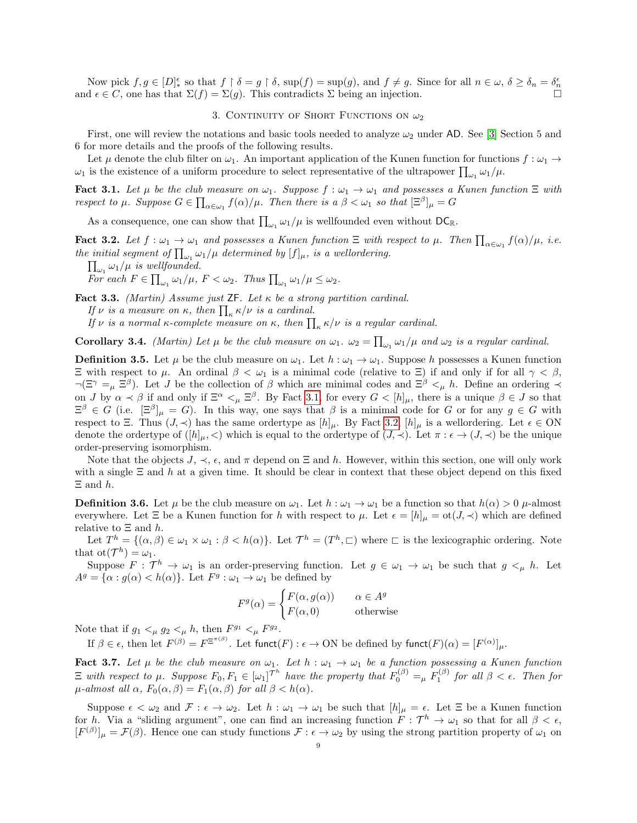Now pick  $f, g \in [D]_*^{\epsilon}$  so that  $f \restriction \delta = g \restriction \delta$ ,  $\sup(f) = \sup(g)$ , and  $f \neq g$ . Since for all  $n \in \omega$ ,  $\delta \geq \delta_n = \delta_n^{\epsilon}$ and  $\epsilon \in C$ , one has that  $\Sigma(f) = \Sigma(g)$ . This contradicts  $\Sigma$  being an injection.

### 3. CONTINUITY OF SHORT FUNCTIONS ON  $\omega_2$

First, one will review the notations and basic tools needed to analyze  $\omega_2$  under AD. See [\[3\]](#page-18-3) Section 5 and 6 for more details and the proofs of the following results.

Let  $\mu$  denote the club filter on  $\omega_1$ . An important application of the Kunen function for functions  $f : \omega_1 \to$  $\omega_1$  is the existence of a uniform procedure to select representative of the ultrapower  $\prod_{\omega_1} \omega_1/\mu$ .

<span id="page-8-0"></span>**Fact 3.1.** Let  $\mu$  be the club measure on  $\omega_1$ . Suppose  $f : \omega_1 \to \omega_1$  and possesses a Kunen function  $\Xi$  with respect to  $\mu$ . Suppose  $G \in \prod_{\alpha \in \omega_1} f(\alpha)/\mu$ . Then there is  $a \beta < \omega_1$  so that  $[\Xi^{\beta}]_{\mu} = G$ 

As a consequence, one can show that  $\prod_{\omega_1} \omega_1/\mu$  is wellfounded even without  $DC_{\mathbb{R}}$ .

<span id="page-8-1"></span>**Fact 3.2.** Let  $f: \omega_1 \to \omega_1$  and possesses a Kunen function  $\Xi$  with respect to  $\mu$ . Then  $\prod_{\alpha \in \omega_1} f(\alpha)/\mu$ , i.e. the initial segment of  $\prod_{\omega_1} \omega_1/\mu$  determined by  $[f]_\mu$ , is a wellordering.

 $\prod_{\omega_1} \omega_1/\mu$  is wellfounded.

For each  $F \in \prod_{\omega_1} \omega_1/\mu$ ,  $F < \omega_2$ . Thus  $\prod_{\omega_1} \omega_1/\mu \leq \omega_2$ .

Fact 3.3. (Martin) Assume just  $\mathsf{ZF}$ . Let  $\kappa$  be a strong partition cardinal.

If  $\nu$  is a measure on  $\kappa$ , then  $\prod_{\kappa} \kappa/\nu$  is a cardinal.

If  $\nu$  is a normal  $\kappa$ -complete measure on  $\kappa$ , then  $\prod_{\kappa} \kappa/\nu$  is a regular cardinal.

**Corollary 3.4.** *(Martin)* Let  $\mu$  be the club measure on  $\omega_1$ .  $\omega_2 = \prod_{\omega_1} \omega_1 / \mu$  and  $\omega_2$  is a regular cardinal.

**Definition 3.5.** Let  $\mu$  be the club measure on  $\omega_1$ . Let  $h : \omega_1 \to \omega_1$ . Suppose h possesses a Kunen function Ξ with respect to µ. An ordinal β < ω<sup>1</sup> is a minimal code (relative to Ξ) if and only if for all γ < β,  $\neg(\Xi^{\gamma} =_{\mu} \Xi^{\beta})$ . Let J be the collection of  $\beta$  which are minimal codes and  $\Xi^{\beta} <_{\mu} h$ . Define an ordering  $\prec$ on J by  $\alpha \prec \beta$  if and only if  $\Xi^{\alpha} \leq_{\mu} \Xi^{\beta}$ . By Fact [3.1,](#page-8-0) for every  $G \leq [h]_{\mu}$ , there is a unique  $\beta \in J$  so that  $\Xi^{\beta} \in G$  (i.e.  $[\Xi^{\beta}]_{\mu} = G$ ). In this way, one says that  $\beta$  is a minimal code for G or for any  $g \in G$  with respect to Ξ. Thus  $(J, \prec)$  has the same ordertype as  $[h]_\mu$ . By Fact [3.2,](#page-8-1)  $[h]_\mu$  is a wellordering. Let  $\epsilon \in ON$ denote the ordertype of  $([h]_u,<)$  which is equal to the ordertype of  $(J,\prec)$ . Let  $\pi : \epsilon \to (J,\prec)$  be the unique order-preserving isomorphism.

Note that the objects  $J, \prec, \epsilon$ , and  $\pi$  depend on  $\Xi$  and h. However, within this section, one will only work with a single  $\Xi$  and h at a given time. It should be clear in context that these object depend on this fixed  $\Xi$  and  $h$ .

**Definition 3.6.** Let  $\mu$  be the club measure on  $\omega_1$ . Let  $h : \omega_1 \to \omega_1$  be a function so that  $h(\alpha) > 0$   $\mu$ -almost everywhere. Let  $\Xi$  be a Kunen function for h with respect to  $\mu$ . Let  $\epsilon = [h]_{\mu} = \text{ot}(J, \prec)$  which are defined relative to  $\Xi$  and  $h$ .

Let  $T^h = \{(\alpha, \beta) \in \omega_1 \times \omega_1 : \beta < h(\alpha)\}\$ . Let  $\mathcal{T}^h = (T^h, \square)$  where  $\square$  is the lexicographic ordering. Note that  $ot(\mathcal{T}^h) = \omega_1$ .

Suppose  $F: \mathcal{T}^h \to \omega_1$  is an order-preserving function. Let  $g \in \omega_1 \to \omega_1$  be such that  $g \lt_{\mu} h$ . Let  $A^g = {\alpha : g(\alpha) < h(\alpha)}$ . Let  $F^g : \omega_1 \to \omega_1$  be defined by

$$
F^{g}(\alpha) = \begin{cases} F(\alpha, g(\alpha)) & \alpha \in A^{g} \\ F(\alpha, 0) & \text{otherwise} \end{cases}
$$

Note that if  $g_1 <_{\mu} g_2 <_{\mu} h$ , then  $F^{g_1} <_{\mu} F^{g_2}$ .

If  $\beta \in \epsilon$ , then let  $F^{(\beta)} = F^{\Xi^{\pi(\beta)}}$ . Let funct $(F) : \epsilon \to ON$  be defined by funct $(F)(\alpha) = [F^{(\alpha)}]_{\mu}$ .

<span id="page-8-2"></span>**Fact 3.7.** Let  $\mu$  be the club measure on  $\omega_1$ . Let  $h : \omega_1 \to \omega_1$  be a function possessing a Kunen function  $\Xi$  with respect to  $\mu$ . Suppose  $F_0, F_1 \in [\omega_1]^{T^h}$  have the property that  $F_0^{(\beta)} =_{\mu} F_1^{(\beta)}$  for all  $\beta < \epsilon$ . Then for  $\mu$ -almost all  $\alpha$ ,  $F_0(\alpha, \beta) = F_1(\alpha, \beta)$  for all  $\beta < h(\alpha)$ .

Suppose  $\epsilon < \omega_2$  and  $\mathcal{F} : \epsilon \to \omega_2$ . Let  $h : \omega_1 \to \omega_1$  be such that  $[h]_\mu = \epsilon$ . Let  $\Xi$  be a Kunen function for h. Via a "sliding argument", one can find an increasing function  $F: \mathcal{T}^h \to \omega_1$  so that for all  $\beta < \epsilon$ ,  $[F^{(\beta)}]_{\mu} = \mathcal{F}(\beta)$ . Hence one can study functions  $\mathcal{F} : \epsilon \to \omega_2$  by using the strong partition property of  $\omega_1$  on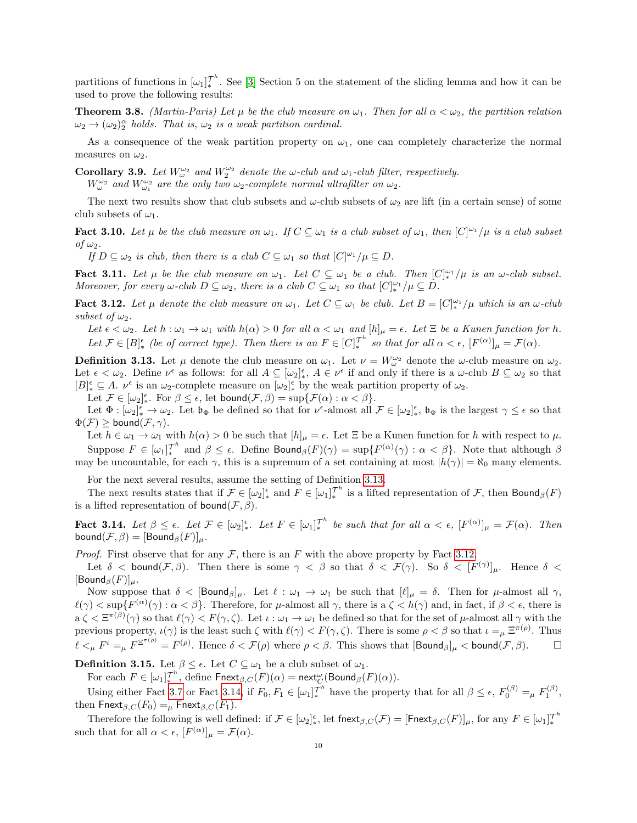partitions of functions in  $[\omega_1]_{*}^{\mathcal{T}^h}$ . See [\[3\]](#page-18-3) Section 5 on the statement of the sliding lemma and how it can be used to prove the following results:

**Theorem 3.8.** (Martin-Paris) Let  $\mu$  be the club measure on  $\omega_1$ . Then for all  $\alpha < \omega_2$ , the partition relation  $\omega_2 \rightarrow (\omega_2)_2^{\alpha}$  holds. That is,  $\omega_2$  is a weak partition cardinal.

As a consequence of the weak partition property on  $\omega_1$ , one can completely characterize the normal measures on  $\omega_2$ .

Corollary 3.9. Let  $W^{\omega_2}_{\omega}$  and  $W^{\omega_2}_{2}$  denote the  $\omega$ -club and  $\omega_1$ -club filter, respectively.

 $W^{\omega_2}_{\omega}$  and  $W^{\omega_2}_{\omega_1}$  are the only two  $\omega_2$ -complete normal ultrafilter on  $\omega_2$ .

The next two results show that club subsets and  $\omega$ -club subsets of  $\omega_2$  are lift (in a certain sense) of some club subsets of  $\omega_1$ .

**Fact 3.10.** Let  $\mu$  be the club measure on  $\omega_1$ . If  $C \subseteq \omega_1$  is a club subset of  $\omega_1$ , then  $[C]^{\omega_1}/\mu$  is a club subset of  $\omega_2$ .

If  $D \subseteq \omega_2$  is club, then there is a club  $C \subseteq \omega_1$  so that  $[C]^{\omega_1}/\mu \subseteq D$ .

<span id="page-9-3"></span>**Fact 3.11.** Let  $\mu$  be the club measure on  $\omega_1$ . Let  $C \subseteq \omega_1$  be a club. Then  $[C]_{*}^{\omega_1}/\mu$  is an  $\omega$ -club subset. Moreover, for every  $\omega$ -club  $D \subseteq \omega_2$ , there is a club  $C \subseteq \omega_1$  so that  $[C]_{*}^{\omega_1}/\mu \subseteq D$ .

<span id="page-9-1"></span>**Fact 3.12.** Let  $\mu$  denote the club measure on  $\omega_1$ . Let  $C \subseteq \omega_1$  be club. Let  $B = [C]_{*}^{\omega_1}/\mu$  which is an  $\omega$ -club subset of  $\omega_2$ .

Let  $\epsilon < \omega_2$ . Let  $h : \omega_1 \to \omega_1$  with  $h(\alpha) > 0$  for all  $\alpha < \omega_1$  and  $[h]_\mu = \epsilon$ . Let  $\Xi$  be a Kunen function for h. Let  $\mathcal{F} \in [B]^{\epsilon}_{*}$  (be of correct type). Then there is an  $F \in [C]^{\mathcal{T}^{h}}_{*}$  so that for all  $\alpha < \epsilon$ ,  $[F^{(\alpha)}]_{\mu} = \mathcal{F}(\alpha)$ .

<span id="page-9-0"></span>**Definition 3.13.** Let  $\mu$  denote the club measure on  $\omega_1$ . Let  $\nu = W_{\omega}^{\omega_2}$  denote the  $\omega$ -club measure on  $\omega_2$ . Let  $\epsilon < \omega_2$ . Define  $\nu^{\epsilon}$  as follows: for all  $A \subseteq [\omega_2]^{\epsilon}$ ,  $A \in \nu^{\epsilon}$  if and only if there is a  $\omega$ -club  $B \subseteq \omega_2$  so that  $[B]_{*}^{\epsilon} \subseteq A$ .  $\nu^{\epsilon}$  is an  $\omega_2$ -complete measure on  $[\omega_2]_{*}^{\epsilon}$  by the weak partition property of  $\omega_2$ .

Let  $\mathcal{F} \in [\omega_2]^\epsilon_*$ . For  $\beta \leq \epsilon$ , let  $\text{bound}(\mathcal{F}, \beta) = \sup{\{\mathcal{F}(\alpha) : \alpha < \beta\}}$ .

Let  $\Phi : [\omega_2]_*^\epsilon \to \omega_2$ . Let  $\mathfrak{b}_{\Phi}$  be defined so that for  $\nu^{\epsilon}$ -almost all  $\mathcal{F} \in [\omega_2]_*^\epsilon$ ,  $\mathfrak{b}_{\Phi}$  is the largest  $\gamma \leq \epsilon$  so that  $\Phi(\mathcal{F}) \geq \text{bound}(\mathcal{F}, \gamma).$ 

Let  $h \in \omega_1 \to \omega_1$  with  $h(\alpha) > 0$  be such that  $[h]_\mu = \epsilon$ . Let  $\Xi$  be a Kunen function for h with respect to  $\mu$ . Suppose  $F \in [\omega_1]_{*}^{\tau_h}$  and  $\beta \leq \epsilon$ . Define Bound $_\beta(F)(\gamma) = \sup\{F^{(\alpha)}(\gamma) : \alpha < \beta\}$ . Note that although  $\beta$ may be uncountable, for each  $\gamma$ , this is a supremum of a set containing at most  $|h(\gamma)| = \aleph_0$  many elements.

For the next several results, assume the setting of Definition [3.13.](#page-9-0)

The next results states that if  $\mathcal{F} \in [\omega_2]_*^{\epsilon}$  and  $F \in [\omega_1]_*^{\mathcal{T}^h}$  is a lifted representation of  $\mathcal{F}$ , then  $\mathsf{Bound}_{\beta}(F)$ is a lifted representation of bound $(\mathcal{F}, \beta)$ .

<span id="page-9-2"></span>**Fact 3.14.** Let  $\beta \leq \epsilon$ . Let  $\mathcal{F} \in [\omega_2]_{*}^{\epsilon}$ . Let  $F \in [\omega_1]_{*}^{\tau^h}$  be such that for all  $\alpha < \epsilon$ ,  $[F^{(\alpha)}]_{\mu} = \mathcal{F}(\alpha)$ . Then bound $(\mathcal{F}, \beta) = [\text{Bound}_{\beta}(F)]_{\mu}$ .

*Proof.* First observe that for any  $\mathcal F$ , there is an F with the above property by Fact [3.12.](#page-9-1)

Let  $\delta$  < bound  $(\mathcal{F}, \beta)$ . Then there is some  $\gamma < \beta$  so that  $\delta < \mathcal{F}(\gamma)$ . So  $\delta < [F^{(\gamma)}]_{\mu}$ . Hence  $\delta$  <  $[\mathsf{Bound}_{\beta}(F)]_{\mu}$ .

Now suppose that  $\delta <$  [Bound<sub>β</sub>]<sub>µ</sub>. Let  $\ell : \omega_1 \to \omega_1$  be such that  $[\ell]_{\mu} = \delta$ . Then for  $\mu$ -almost all  $\gamma$ ,  $\ell(\gamma) < \sup\{F^{(\alpha)}(\gamma) : \alpha < \beta\}$ . Therefore, for  $\mu$ -almost all  $\gamma$ , there is a  $\zeta < h(\gamma)$  and, in fact, if  $\beta < \epsilon$ , there is  $a \zeta \leq \Xi^{\pi(\beta)}(\gamma)$  so that  $\ell(\gamma) < F(\gamma, \zeta)$ . Let  $\iota : \omega_1 \to \omega_1$  be defined so that for the set of  $\mu$ -almost all  $\gamma$  with the previous property,  $\iota(\gamma)$  is the least such  $\zeta$  with  $\ell(\gamma) < F(\gamma, \zeta)$ . There is some  $\rho < \beta$  so that  $\iota =_{\mu} \Xi^{\pi(\rho)}$ . Thus  $\ell <_{\mu} F^{\iota} =_{\mu} F^{\Xi^{\pi(\rho)}} = F^{(\rho)}$ . Hence  $\delta < \mathcal{F}(\rho)$  where  $\rho < \beta$ . This shows that  $[\text{Bound}_{\beta}]_{\mu} < \text{bound}(\mathcal{F}, \beta)$ .

**Definition 3.15.** Let  $\beta \leq \epsilon$ . Let  $C \subseteq \omega_1$  be a club subset of  $\omega_1$ .

For each  $F \in [\omega_1]_{*}^{\mathcal{T}^h}$ , define  $\mathsf{Fnext}_{\beta,C}(F)(\alpha) = \mathsf{next}_{C}^{\omega}(\mathsf{Bound}_{\beta}(F)(\alpha)).$ 

Using either Fact [3.7](#page-8-2) or Fact [3.14,](#page-9-2) if  $F_0, F_1 \in [\omega_1]_{*}^{\mathcal{T}^h}$  have the property that for all  $\beta \leq \epsilon$ ,  $F_0^{(\beta)} =_{\mu} F_1^{(\beta)}$ , then  $\text{Fnext}_{\beta,C}(F_0) =_{\mu} \text{Fnext}_{\beta,C}(F_1)$ .

Therefore the following is well defined: if  $\mathcal{F} \in [\omega_2]_*^{\epsilon}$ , let fnext $_{\beta,C}(\mathcal{F}) = [\text{Fnext}_{\beta,C}(F)]_{\mu}$ , for any  $F \in [\omega_1]_*^{\mathcal{T}^h}$ such that for all  $\alpha < \epsilon$ ,  $[F^{(\alpha)}]_{\mu} = \mathcal{F}(\alpha)$ .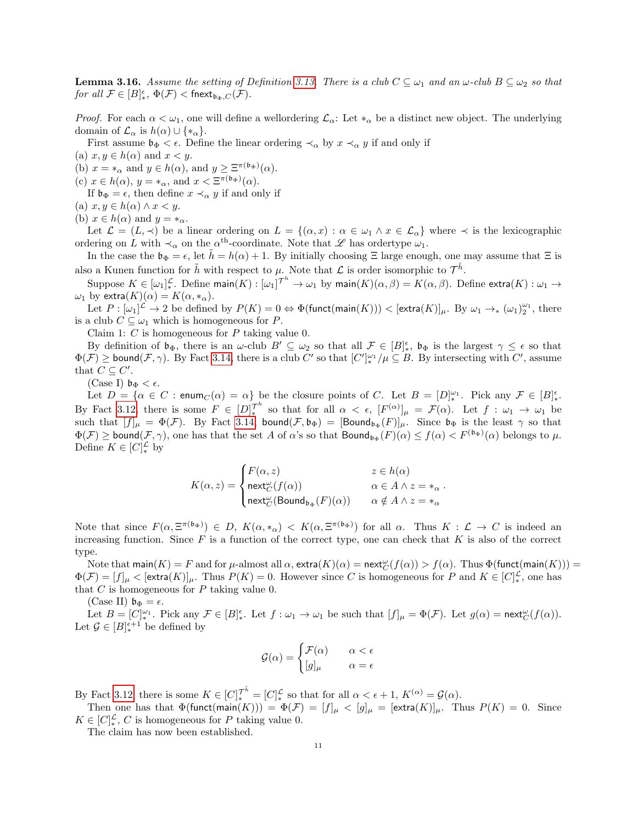<span id="page-10-0"></span>**Lemma 3.16.** Assume the setting of Definition [3.13.](#page-9-0) There is a club  $C \subseteq \omega_1$  and an  $\omega$ -club  $B \subseteq \omega_2$  so that for all  $\mathcal{F} \in [B]_{*}^{\epsilon}$ ,  $\Phi(\mathcal{F}) < \text{fnext}_{\mathfrak{b}_{\Phi},C}(\mathcal{F})$ .

*Proof.* For each  $\alpha < \omega_1$ , one will define a wellordering  $\mathcal{L}_{\alpha}$ : Let  $*_\alpha$  be a distinct new object. The underlying domain of  $\mathcal{L}_{\alpha}$  is  $h(\alpha) \cup \{*_\alpha\}.$ 

First assume  $\mathfrak{b}_{\Phi} < \epsilon$ . Define the linear ordering  $\prec_{\alpha}$  by  $x \prec_{\alpha} y$  if and only if

(a)  $x, y \in h(\alpha)$  and  $x < y$ .

(b)  $x = *_{\alpha}$  and  $y \in h(\alpha)$ , and  $y \geq \Xi^{\pi(\mathfrak{b}_{\Phi})}(\alpha)$ .

(c)  $x \in h(\alpha)$ ,  $y = *_{\alpha}$ , and  $x < \Xi^{\pi(\mathfrak{b}_{\Phi})}(\alpha)$ .

If  $\mathfrak{b}_{\Phi} = \epsilon$ , then define  $x \prec_{\alpha} y$  if and only if

(a)  $x, y \in h(\alpha) \wedge x < y$ .

(b)  $x \in h(\alpha)$  and  $y = *_{\alpha}$ .

Let  $\mathcal{L} = (L, \prec)$  be a linear ordering on  $L = \{(\alpha, x) : \alpha \in \omega_1 \land x \in \mathcal{L}_\alpha\}$  where  $\prec$  is the lexicographic ordering on L with  $\prec_{\alpha}$  on the  $\alpha^{\text{th}}$ -coordinate. Note that  $\mathscr L$  has ordertype  $\omega_1$ .

In the case the  $\mathfrak{b}_{\Phi} = \epsilon$ , let  $\hat{h} = h(\alpha) + 1$ . By initially choosing  $\Xi$  large enough, one may assume that  $\Xi$  is also a Kunen function for  $\tilde{h}$  with respect to  $\mu$ . Note that  $\mathcal L$  is order isomorphic to  $\mathcal T^{\tilde{h}}$ .

Suppose  $K \in [\omega_1]_*^{\mathcal{L}}$ . Define main $(K): [\omega_1]^{\mathcal{T}^h} \to \omega_1$  by main $(K)(\alpha, \beta) = K(\alpha, \beta)$ . Define  $\mathsf{extra}(K): \omega_1 \to \omega_2$  $\omega_1$  by extra $(K)(\alpha) = K(\alpha, *_{\alpha}).$ 

Let  $P: [\omega_1]^{\mathcal{L}} \to 2$  be defined by  $P(K) = 0 \Leftrightarrow \Phi(\textsf{funct}(\textsf{main}(K))) < [\textsf{extra}(K)]_{\mu}.$  By  $\omega_1 \to_* (\omega_1)_2^{\omega_1}$ , there is a club  $C \subseteq \omega_1$  which is homogeneous for P.

Claim 1:  $C$  is homogeneous for  $P$  taking value 0.

By definition of  $\mathfrak{b}_{\Phi}$ , there is an  $\omega$ -club  $B' \subseteq \omega_2$  so that all  $\mathcal{F} \in [B]_{*}^{\epsilon}$ ,  $\mathfrak{b}_{\Phi}$  is the largest  $\gamma \leq \epsilon$  so that  $\Phi(\mathcal{F}) \geq$  bound $(\mathcal{F}, \gamma)$ . By Fact [3.14,](#page-9-2) there is a club C' so that  $[C']_*^{\omega_1}/\mu \subseteq B$ . By intersecting with C', assume that  $C \subseteq C'$ .

(Case I)  $\mathfrak{b}_{\Phi} < \epsilon$ .

Let  $D = {\alpha \in C : \text{enum}_C(\alpha) = \alpha}$  be the closure points of C. Let  $B = [D]_*^{\omega_1}$ . Pick any  $\mathcal{F} \in [B]_*^{\epsilon}$ . By Fact [3.12,](#page-9-1) there is some  $F \in [D]_{*}^{\mathcal{T}^{h}}$  so that for all  $\alpha < \epsilon$ ,  $[F^{(\alpha)}]_{\mu} = \mathcal{F}(\alpha)$ . Let  $f : \omega_1 \to \omega_1$  be such that  $[f]_\mu = \Phi(\mathcal{F})$ . By Fact [3.14,](#page-9-2) bound $(\mathcal{F}, \mathfrak{b}_\Phi) = [\textsf{Bound}_{\mathfrak{b}_\Phi}(F)]_\mu$ . Since  $\mathfrak{b}_\Phi$  is the least  $\gamma$  so that  $\Phi(\mathcal{F}) \geq$  bound $(\mathcal{F}, \gamma)$ , one has that the set A of  $\alpha$ 's so that  $\text{Bound}_{\mathfrak{b}_{\Phi}}(F)(\alpha) \leq f(\alpha) < F^{(\mathfrak{b}_{\Phi})}(\alpha)$  belongs to  $\mu$ . Define  $K \in [C]_*^{\mathcal{L}}$  by

$$
K(\alpha, z) = \begin{cases} F(\alpha, z) & z \in h(\alpha) \\ \operatorname{next}_{C}^{\omega}(f(\alpha)) & \alpha \in A \wedge z = *_{\alpha} \\ \operatorname{next}_{C}^{\omega}(\operatorname{Bound}_{\mathfrak{b}_{\Phi}}(F)(\alpha)) & \alpha \notin A \wedge z = *_{\alpha} \end{cases}
$$

.

Note that since  $F(\alpha, \Xi^{\pi(\mathfrak{b}_{\Phi})}) \in D$ ,  $K(\alpha, *_{\alpha}) < K(\alpha, \Xi^{\pi(\mathfrak{b}_{\Phi})})$  for all  $\alpha$ . Thus  $K : \mathcal{L} \to C$  is indeed an increasing function. Since  $F$  is a function of the correct type, one can check that  $K$  is also of the correct type.

Note that  $\textsf{main}(K) = F$  and for  $\mu$ -almost all  $\alpha$ ,  $\textsf{extra}(K)(\alpha) = \textsf{next}_{C}^{\omega}(f(\alpha)) > f(\alpha)$ . Thus  $\Phi(\textsf{funct}(\textsf{main}(K))) = \Phi(\textsf{start}(K))$  $\Phi(\mathcal{F}) = [f]_{\mu} < [\text{extra}(K)]_{\mu}$ . Thus  $P(K) = 0$ . However since C is homogeneous for P and  $K \in [C]_{*}^{\mathcal{L}}$ , one has that  $C$  is homogeneous for  $P$  taking value 0.

(Case II)  $\mathfrak{b}_{\Phi} = \epsilon$ .

Let  $B = [C]_{*}^{\omega_1}$ . Pick any  $\mathcal{F} \in [B]_{*}^{\epsilon}$ . Let  $f : \omega_1 \to \omega_1$  be such that  $[f]_{\mu} = \Phi(\mathcal{F})$ . Let  $g(\alpha) = \text{next}_{C}^{\omega}(f(\alpha))$ . Let  $\mathcal{G} \in [B]_{*}^{\epsilon+1}$  be defined by

$$
\mathcal{G}(\alpha) = \begin{cases} \mathcal{F}(\alpha) & \alpha < \epsilon \\ [g]_{\mu} & \alpha = \epsilon \end{cases}
$$

By Fact [3.12,](#page-9-1) there is some  $K \in [C]_{*}^{\mathcal{T}^{\tilde{h}}} = [C]_{*}^{\mathcal{L}}$  so that for all  $\alpha < \epsilon + 1$ ,  $K^{(\alpha)} = \mathcal{G}(\alpha)$ .

Then one has that  $\Phi(\text{funct}(\text{main}(K))) = \Phi(\mathcal{F}) = [f]_{\mu} < [g]_{\mu} = [\text{extra}(K)]_{\mu}$ . Thus  $P(K) = 0$ . Since  $K \in [C]_*^{\mathcal{L}}, C$  is homogeneous for P taking value 0.

The claim has now been established.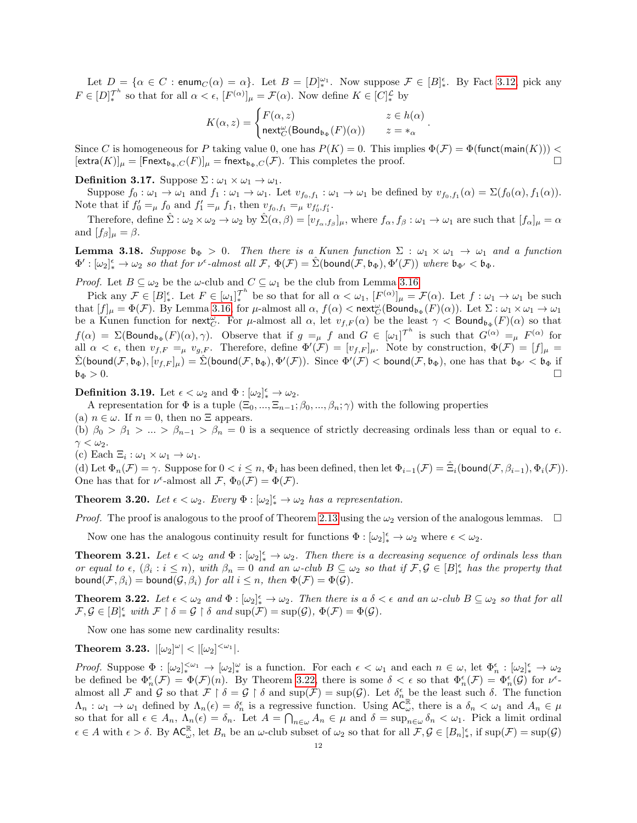Let  $D = \{ \alpha \in C : \text{enum}_C(\alpha) = \alpha \}.$  Let  $B = [D]_*^{\omega_1}$ . Now suppose  $\mathcal{F} \in [B]_*^{\epsilon}$ . By Fact [3.12,](#page-9-1) pick any  $F \in [D]_{*}^{\mathcal{T}^{h}}$  so that for all  $\alpha < \epsilon$ ,  $[F^{(\alpha)}]_{\mu} = \mathcal{F}(\alpha)$ . Now define  $K \in [C]_{*}^{\mathcal{L}}$  by

$$
K(\alpha,z)=\begin{cases} F(\alpha,z) & z\in h(\alpha) \\ \mathsf{next}^\omega_C(\mathsf{Bound}_{\mathfrak{b}_\Phi}(F)(\alpha)) & z=*_\alpha \end{cases}.
$$

Since C is homogeneous for P taking value 0, one has  $P(K) = 0$ . This implies  $\Phi(\mathcal{F}) = \Phi(\text{funct}(\text{main}(K)))$  <  $\left[\text{extra}(K)\right]_{\mu} = \left[\text{Fnext}_{\mathfrak{b}_{\Phi},C}(F)\right]_{\mu} = \text{fnext}_{\mathfrak{b}_{\Phi},C}(\mathcal{F}).$  This completes the proof.

Definition 3.17. Suppose  $\Sigma : \omega_1 \times \omega_1 \to \omega_1$ .

Suppose  $f_0: \omega_1 \to \omega_1$  and  $f_1: \omega_1 \to \omega_1$ . Let  $v_{f_0,f_1}: \omega_1 \to \omega_1$  be defined by  $v_{f_0,f_1}(\alpha) = \Sigma(f_0(\alpha), f_1(\alpha))$ . Note that if  $f'_0 =_\mu f_0$  and  $f'_1 =_\mu f_1$ , then  $v_{f_0, f_1} =_\mu v_{f'_0, f'_1}$ .

Therefore, define  $\hat{\Sigma} : \omega_2 \times \omega_2 \to \omega_2$  by  $\hat{\Sigma}(\alpha, \beta) = [v_{f_\alpha, f_\beta}]_\mu$ , where  $f_\alpha, f_\beta : \omega_1 \to \omega_1$  are such that  $[f_\alpha]_\mu = \alpha$ and  $[f_{\beta}]_{\mu} = \beta$ .

**Lemma 3.18.** Suppose  $\mathfrak{b}_{\Phi} > 0$ . Then there is a Kunen function  $\Sigma : \omega_1 \times \omega_1 \to \omega_1$  and a function  $\Phi': [\omega_2]_*^{\epsilon} \to \omega_2$  so that for  $\nu^{\epsilon}$ -almost all  $\mathcal{F}, \Phi(\mathcal{F}) = \hat{\Sigma}(\text{bound}(\mathcal{F}, \mathfrak{b}_{\Phi}), \Phi'(\mathcal{F}))$  where  $\mathfrak{b}_{\Phi'} < \mathfrak{b}_{\Phi}$ .

*Proof.* Let  $B \subseteq \omega_2$  be the  $\omega$ -club and  $C \subseteq \omega_1$  be the club from Lemma [3.16.](#page-10-0)

Pick any  $\mathcal{F} \in [B]_{*}^{\epsilon}$ . Let  $F \in [\omega_1]_{*}^{\mathcal{T}^h}$  be so that for all  $\alpha < \omega_1$ ,  $[F^{(\alpha)}]_{\mu} = \mathcal{F}(\alpha)$ . Let  $f : \omega_1 \to \omega_1$  be such that  $[f]_\mu = \Phi(\mathcal{F})$ . By Lemma [3.16,](#page-10-0) for  $\mu$ -almost all  $\alpha$ ,  $f(\alpha) < \text{next}_{\mathcal{C}}^{\omega}(\text{Bound}_{\mathfrak{b}_{\Phi}}(F)(\alpha))$ . Let  $\Sigma : \omega_1 \times \omega_1 \to \omega_1$ be a Kunen function for next<sub>*C*</sub>. For  $\mu$ -almost all  $\alpha$ , let  $v_{f,F}(\alpha)$  be the least  $\gamma <$  Bound<sub>b</sub><sub> $\Phi$ </sub> $(F)(\alpha)$  so that  $f(\alpha) = \Sigma(\text{Bound}_{\mathfrak{b}_{\Phi}}(F)(\alpha), \gamma)$ . Observe that if  $g =_{\mu} f$  and  $G \in [\omega_1]^{\mathcal{T}^h}$  is such that  $G^{(\alpha)} =_{\mu} F^{(\alpha)}$  for all  $\alpha < \epsilon$ , then  $v_{f,F} = \mu v_{g,F}$ . Therefore, define  $\Phi'(\mathcal{F}) = [v_{f,F}]_{\mu}$ . Note by construction,  $\Phi(\mathcal{F}) = [f]_{\mu}$  $\hat{\Sigma}(\mathsf{bound}(\mathcal{F},\mathfrak{b}_\Phi),[\overline{v}_{f,F}]_{\mu}) = \hat{\Sigma}(\mathsf{bound}(\mathcal{F},\mathfrak{b}_\Phi),\Phi'(\mathcal{F}))$ . Since  $\Phi'(\mathcal{F}) < \mathsf{bound}(\mathcal{F},\mathfrak{b}_\Phi),$  one has that  $\mathfrak{b}_{\Phi'} < \mathfrak{b}_\Phi$  if  $\mathfrak{b}_\Phi > 0.$ 

**Definition 3.19.** Let  $\epsilon < \omega_2$  and  $\Phi : [\omega_2]_*^{\epsilon} \to \omega_2$ .

A representation for  $\Phi$  is a tuple  $(\Xi_0, ..., \Xi_{n-1}; \beta_0, ..., \beta_n; \gamma)$  with the following properties

(a)  $n \in \omega$ . If  $n = 0$ , then no  $\Xi$  appears.

(b)  $\beta_0 > \beta_1 > ... > \beta_{n-1} > \beta_n = 0$  is a sequence of strictly decreasing ordinals less than or equal to  $\epsilon$ .  $\gamma < \omega_2$ .

(c) Each  $\Xi_i : \omega_1 \times \omega_1 \to \omega_1$ .

(d) Let  $\Phi_n(\mathcal{F}) = \gamma$ . Suppose for  $0 < i \leq n$ ,  $\Phi_i$  has been defined, then let  $\Phi_{i-1}(\mathcal{F}) = \hat{\Xi}_i(\text{bound}(\mathcal{F}, \beta_{i-1}), \Phi_i(\mathcal{F}))$ . One has that for  $\nu^{\epsilon}$ -almost all  $\mathcal{F}, \Phi_0(\mathcal{F}) = \Phi(\mathcal{F})$ .

**Theorem 3.20.** Let  $\epsilon < \omega_2$ . Every  $\Phi : [\omega_2]_*^{\epsilon} \to \omega_2$  has a representation.

*Proof.* The proof is analogous to the proof of Theorem [2.13](#page-7-3) using the  $\omega_2$  version of the analogous lemmas.  $\Box$ 

Now one has the analogous continuity result for functions  $\Phi : [\omega_2]_*^{\epsilon} \to \omega_2$  where  $\epsilon < \omega_2$ .

<span id="page-11-0"></span>**Theorem 3.21.** Let  $\epsilon < \omega_2$  and  $\Phi : [\omega_2]_*^{\epsilon} \to \omega_2$ . Then there is a decreasing sequence of ordinals less than or equal to  $\epsilon$ ,  $(\beta_i : i \leq n)$ , with  $\beta_n = 0$  and an  $\omega$ -club  $B \subseteq \omega_2$  so that if  $\mathcal{F}, \mathcal{G} \in [B]_*^{\epsilon}$  has the property that bound( $\mathcal{F}, \beta_i$ ) = bound( $\mathcal{G}, \beta_i$ ) for all  $i \leq n$ , then  $\Phi(\mathcal{F}) = \Phi(\mathcal{G})$ .

<span id="page-11-1"></span>**Theorem 3.22.** Let  $\epsilon < \omega_2$  and  $\Phi : [\omega_2]_*^{\epsilon} \to \omega_2$ . Then there is a  $\delta < \epsilon$  and an  $\omega$ -club  $B \subseteq \omega_2$  so that for all  $\mathcal{F}, \mathcal{G} \in [B]^{\epsilon}_*$  with  $\mathcal{F} \restriction \delta = \mathcal{G} \restriction \delta$  and  $\text{sup}(\mathcal{F}) = \text{sup}(\mathcal{G}), \ \Phi(\mathcal{F}) = \Phi(\mathcal{G}).$ 

Now one has some new cardinality results:

<span id="page-11-2"></span>Theorem 3.23.  $|[\omega_2]^{\omega}| < |[\omega_2]^{<\omega_1}|$ .

Proof. Suppose  $\Phi : [\omega_2]_*^{\leq \omega_1} \to [\omega_2]_*^{\omega}$  is a function. For each  $\epsilon < \omega_1$  and each  $n \in \omega$ , let  $\Phi_n^{\epsilon} : [\omega_2]_*^{\epsilon} \to \omega_2$ be defined be  $\Phi_n^{\epsilon}(\mathcal{F}) = \Phi(\mathcal{F})(n)$ . By Theorem [3.22,](#page-11-1) there is some  $\delta < \epsilon$  so that  $\Phi_n^{\epsilon}(\mathcal{F}) = \Phi_n^{\epsilon}(\mathcal{G})$  for  $\nu^{\epsilon}$ almost all F and G so that  $\mathcal{F} \upharpoonright \delta = \mathcal{G} \upharpoonright \delta$  and  $\sup(\mathcal{F}) = \sup(\mathcal{G})$ . Let  $\delta_n^{\epsilon}$  be the least such  $\delta$ . The function  $\Lambda_n : \omega_1 \to \omega_1$  defined by  $\Lambda_n(\epsilon) = \delta_n^{\epsilon}$  is a regressive function. Using  $AC_{\omega}^{\mathbb{R}}$ , there is a  $\delta_n < \omega_1$  and  $A_n \in \mu$ so that for all  $\epsilon \in A_n$ ,  $\Lambda_n(\epsilon) = \delta_n$ . Let  $A = \bigcap_{n \in \omega} A_n \in \mu$  and  $\delta = \sup_{n \in \omega} \delta_n < \omega_1$ . Pick a limit ordinal  $\epsilon \in A$  with  $\epsilon > \delta$ . By  $AC_{\omega}^{\mathbb{R}}$ , let  $B_n$  be an  $\omega$ -club subset of  $\omega_2$  so that for all  $\mathcal{F}, \mathcal{G} \in [B_n]_*^{\epsilon}$ , if  $\sup(\mathcal{F}) = \sup(\mathcal{G})$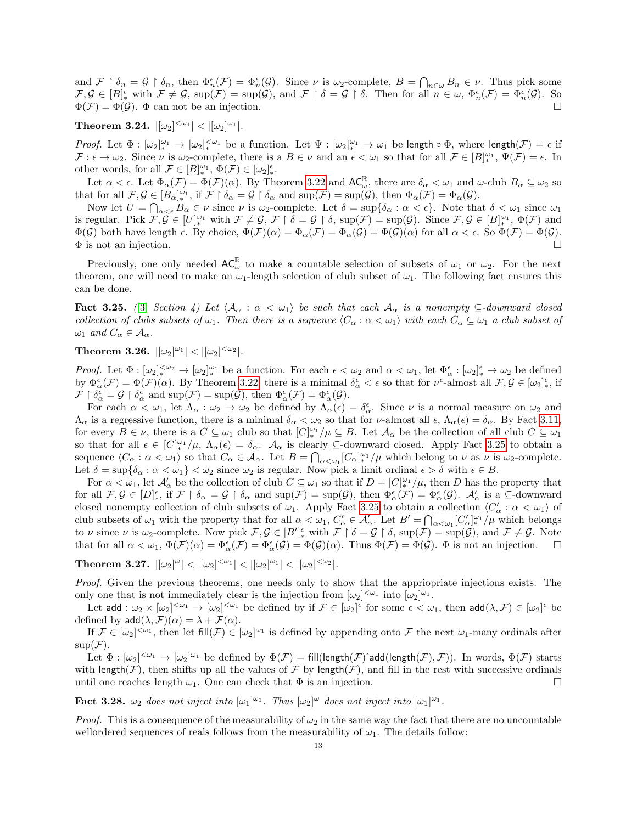and  $\mathcal{F} \upharpoonright \delta_n = \mathcal{G} \upharpoonright \delta_n$ , then  $\Phi_n^{\epsilon}(\mathcal{F}) = \Phi_n^{\epsilon}(\mathcal{G})$ . Since  $\nu$  is  $\omega_2$ -complete,  $B = \bigcap_{n \in \omega} B_n \in \nu$ . Thus pick some  $\mathcal{F}, \mathcal{G} \in [B]^{\epsilon}_{*}$  with  $\mathcal{F} \neq \mathcal{G}$ ,  $\sup(\mathcal{F}) = \sup(\mathcal{G})$ , and  $\mathcal{F} \upharpoonright \delta = \mathcal{G} \upharpoonright \delta$ . Then for all  $n \in \omega$ ,  $\Phi_n^{\epsilon}(\mathcal{F}) = \Phi_n^{\epsilon}(\mathcal{G})$ . So  $\Phi(\mathcal{F}) = \Phi(\mathcal{G})$ .  $\Phi$  can not be an injection.

<span id="page-12-0"></span> $\text{Theorem 3.24.} \ \left| [\omega_2]^{<\omega_1} \right| < \left| [\omega_2]^{\omega_1} \right|.$ 

*Proof.* Let  $\Phi : [\omega_2]_*^{\omega_1} \to [\omega_2]_*^{\omega_1}$  be a function. Let  $\Psi : [\omega_2]_*^{\omega_1} \to \omega_1$  be length  $\circ \Phi$ , where length $(\mathcal{F}) = \epsilon$  if  $\mathcal{F}: \epsilon \to \omega_2$ . Since  $\nu$  is  $\omega_2$ -complete, there is a  $B \in \nu$  and an  $\epsilon < \omega_1$  so that for all  $\mathcal{F} \in [B]_{*}^{\omega_1}$ ,  $\Psi(\mathcal{F}) = \epsilon$ . In other words, for all  $\mathcal{F} \in [B]_*^{\omega_1}$ ,  $\Phi(\mathcal{F}) \in [\omega_2]_*^{\epsilon}$ .

Let  $\alpha < \epsilon$ . Let  $\Phi_{\alpha}(\mathcal{F}) = \Phi(\mathcal{F})(\alpha)$ . By Theorem [3.22](#page-11-1) and  $AC_{\omega}^{\mathbb{R}}$ , there are  $\delta_{\alpha} < \omega_1$  and  $\omega$ -club  $B_{\alpha} \subseteq \omega_2$  so that for all  $\mathcal{F}, \mathcal{G} \in [B_{\alpha}]_{*}^{\omega_{1}}$ , if  $\mathcal{F} \restriction \delta_{\alpha} = \mathcal{G} \restriction \delta_{\alpha}$  and  $\sup(\mathcal{F}) = \sup(\mathcal{G})$ , then  $\Phi_{\alpha}(\mathcal{F}) = \Phi_{\alpha}(\mathcal{G})$ .

Now let  $U = \bigcap_{\alpha < \epsilon} B_{\alpha} \in \nu$  since  $\nu$  is  $\omega_2$ -complete. Let  $\delta = \sup \{\delta_{\alpha} : \alpha < \epsilon\}$ . Note that  $\delta < \omega_1$  since  $\omega_1$ is regular. Pick  $\mathcal{F}, \mathcal{G} \in [U_{*}^{\omega_1} \text{ with } \mathcal{F} \neq \mathcal{G}, \mathcal{F} \restriction \delta = \mathcal{G} \restriction \delta, \text{ sup}(\mathcal{F}) = \text{sup}(\mathcal{G})$ . Since  $\mathcal{F}, \mathcal{G} \in [B]_{*}^{\omega_1}, \Phi(\mathcal{F})$  and  $\Phi(\mathcal{G})$  both have length  $\epsilon$ . By choice,  $\Phi(\mathcal{F})(\alpha) = \Phi_{\alpha}(\mathcal{F}) = \Phi_{\alpha}(\mathcal{G}) = \Phi(\mathcal{G})(\alpha)$  for all  $\alpha < \epsilon$ . So  $\Phi(\mathcal{F}) = \Phi(\mathcal{G})$ .  $\Phi$  is not an injection.

Previously, one only needed  $AC_{\omega}^{\mathbb{R}}$  to make a countable selection of subsets of  $\omega_1$  or  $\omega_2$ . For the next theorem, one will need to make an  $\omega_1$ -length selection of club subset of  $\omega_1$ . The following fact ensures this can be done.

<span id="page-12-2"></span>**Fact 3.25.** ([\[3\]](#page-18-3) Section 4) Let  $\langle A_{\alpha} : \alpha \langle \omega_1 \rangle$  be such that each  $A_{\alpha}$  is a nonempty  $\subseteq$ -downward closed collection of clubs subsets of  $\omega_1$ . Then there is a sequence  $\langle C_\alpha : \alpha < \omega_1 \rangle$  with each  $C_\alpha \subseteq \omega_1$  a club subset of  $\omega_1$  and  $C_\alpha \in \mathcal{A}_\alpha$ .

<span id="page-12-1"></span> $\textbf{Theorem 3.26.} \ \left| \left[ \omega_2 \right]^{\omega_1} \right| < \left| \left[ \omega_2 \right]^{<\omega_2} \right|.$ 

Proof. Let  $\Phi : [\omega_2]_*^{\omega_2} \to [\omega_2]_*^{\omega_1}$  be a function. For each  $\epsilon < \omega_2$  and  $\alpha < \omega_1$ , let  $\Phi_\alpha^{\epsilon} : [\omega_2]_*^{\epsilon} \to \omega_2$  be defined by  $\Phi_{\alpha}^{\epsilon}(\mathcal{F}) = \Phi(\mathcal{F})(\alpha)$ . By Theorem [3.22,](#page-11-1) there is a minimal  $\delta_{\alpha}^{\epsilon} < \epsilon$  so that for  $\nu^{\epsilon}$ -almost all  $\mathcal{F}, \mathcal{G} \in [\omega_2]_{*}^{\epsilon}$ , if  $\mathcal{F} \restriction \delta_\alpha^{\epsilon} = \mathcal{G} \restriction \delta_\alpha^{\epsilon}$  and  $\text{sup}(\mathcal{F}) = \text{sup}(\mathcal{G})$ , then  $\Phi_\alpha^{\epsilon}(\mathcal{F}) = \Phi_\alpha^{\epsilon}(\mathcal{G})$ .

For each  $\alpha < \omega_1$ , let  $\Lambda_\alpha : \omega_2 \to \omega_2$  be defined by  $\Lambda_\alpha(\epsilon) = \delta_\alpha^{\epsilon}$ . Since  $\nu$  is a normal measure on  $\omega_2$  and  $\Lambda_{\alpha}$  is a regressive function, there is a minimal  $\delta_{\alpha} < \omega_2$  so that for *ν*-almost all  $\epsilon$ ,  $\Lambda_{\alpha}(\epsilon) = \delta_{\alpha}$ . By Fact [3.11,](#page-9-3) for every  $B \in \nu$ , there is a  $C \subseteq \omega_1$  club so that  $[C]_*^{\omega_1}/\mu \subseteq B$ . Let  $\mathcal{A}_\alpha$  be the collection of all club  $C \subseteq \omega_1$ so that for all  $\epsilon \in [C]_{*}^{\omega_1}/\mu$ ,  $\Lambda_{\alpha}(\epsilon) = \delta_{\alpha}$ .  $\mathcal{A}_{\alpha}$  is clearly  $\subseteq$ -downward closed. Apply Fact [3.25](#page-12-2) to obtain a sequence  $\langle C_\alpha : \alpha < \omega_1 \rangle$  so that  $C_\alpha \in \mathcal{A}_\alpha$ . Let  $B = \bigcap_{\alpha < \omega_1} [C_\alpha]_*^{\omega_1}/\mu$  which belong to  $\nu$  as  $\nu$  is  $\omega_2$ -complete. Let  $\delta = \sup\{\delta_\alpha : \alpha < \omega_1\} < \omega_2$  since  $\omega_2$  is regular. Now pick a limit ordinal  $\epsilon > \delta$  with  $\epsilon \in B$ .

For  $\alpha < \omega_1$ , let  $\mathcal{A}'_{\alpha}$  be the collection of club  $C \subseteq \omega_1$  so that if  $D = [C]_{*}^{\omega_1}/\mu$ , then D has the property that for all  $\mathcal{F}, \mathcal{G} \in [D_{\ast}^{\epsilon}, \text{ if } \mathcal{F} \restriction \delta_{\alpha} = \mathcal{G} \restriction \delta_{\alpha} \text{ and } \sup(\mathcal{F}) = \sup(\mathcal{G}), \text{ then } \Phi_{\alpha}^{\epsilon}(\mathcal{F}) = \Phi_{\alpha}^{\epsilon}(\mathcal{G}).$   $\mathcal{A}'_{\alpha} \text{ is a } \subseteq \text{-downward}$ closed nonempty collection of club subsets of  $\omega_1$ . Apply Fact [3.25](#page-12-2) to obtain a collection  $\langle C'_\alpha : \alpha < \omega_1 \rangle$  of club subsets of  $\omega_1$  with the property that for all  $\alpha < \omega_1$ ,  $C'_\alpha \in \mathcal{A}'_\alpha$ . Let  $B' = \bigcap_{\alpha < \omega_1} [C'_\alpha]_*^{\omega_1}/\mu$  which belongs to  $\nu$  since  $\nu$  is  $\omega_2$ -complete. Now pick  $\mathcal{F}, \mathcal{G} \in [B']_*^{\epsilon}$  with  $\mathcal{F} \upharpoonright \delta = \mathcal{G} \upharpoonright \delta$ ,  $\sup(\mathcal{F}) = \sup(\mathcal{G})$ , and  $\mathcal{F} \neq \mathcal{G}$ . Note that for all  $\alpha < \omega_1$ ,  $\Phi(\mathcal{F})(\alpha) = \Phi^{\epsilon}_{\alpha}(\mathcal{F}) = \Phi(\mathcal{G})(\alpha)$ . Thus  $\Phi(\mathcal{F}) = \Phi(\mathcal{G})$ .  $\Phi$  is not an injection.

 $\textbf{Theorem 3.27.}\ \left| [\omega_2]^\omega \right| < \left| [\omega_2]^{<\omega_1} \right| < \left| [\omega_2]^{\omega_1} \right| < \left| [\omega_2]^{<\omega_2} \right|.$ 

Proof. Given the previous theorems, one needs only to show that the appriopriate injections exists. The only one that is not immediately clear is the injection from  $[\omega_2]^{<\omega_1}$  into  $[\omega_2]^{\omega_1}$ .

Let add :  $\omega_2 \times [\omega_2]^{<\omega_1} \to [\omega_2]^{<\omega_1}$  be defined by if  $\mathcal{F} \in [\omega_2]^\epsilon$  for some  $\epsilon < \omega_1$ , then  $\mathsf{add}(\lambda, \mathcal{F}) \in [\omega_2]^\epsilon$  be defined by  $\text{add}(\lambda, \mathcal{F})(\alpha) = \lambda + \mathcal{F}(\alpha)$ .

If  $\mathcal{F} \in [\omega_2]^{<\omega_1}$ , then let fill $(\mathcal{F}) \in [\omega_2]^{\omega_1}$  is defined by appending onto  $\mathcal{F}$  the next  $\omega_1$ -many ordinals after  $sup(\mathcal{F}).$ 

Let  $\Phi : [\omega_2]^{<\omega_1} \to [\omega_2]^{\omega_1}$  be defined by  $\Phi(\mathcal{F}) = \text{fill}(\text{length}(\mathcal{F}) \text{`add}(\text{length}(\mathcal{F}), \mathcal{F}))$ . In words,  $\Phi(\mathcal{F})$  starts with length( $\mathcal{F}$ ), then shifts up all the values of  $\mathcal{F}$  by length( $\mathcal{F}$ ), and fill in the rest with successive ordinals until one reaches length  $\omega_1$ . One can check that  $\Phi$  is an injection.

<span id="page-12-3"></span>**Fact 3.28.**  $\omega_2$  does not inject into  $[\omega_1]^{\omega_1}$ . Thus  $[\omega_2]^{\omega}$  does not inject into  $[\omega_1]^{\omega_1}$ .

*Proof.* This is a consequence of the measurability of  $\omega_2$  in the same way the fact that there are no uncountable wellordered sequences of reals follows from the measurability of  $\omega_1$ . The details follow: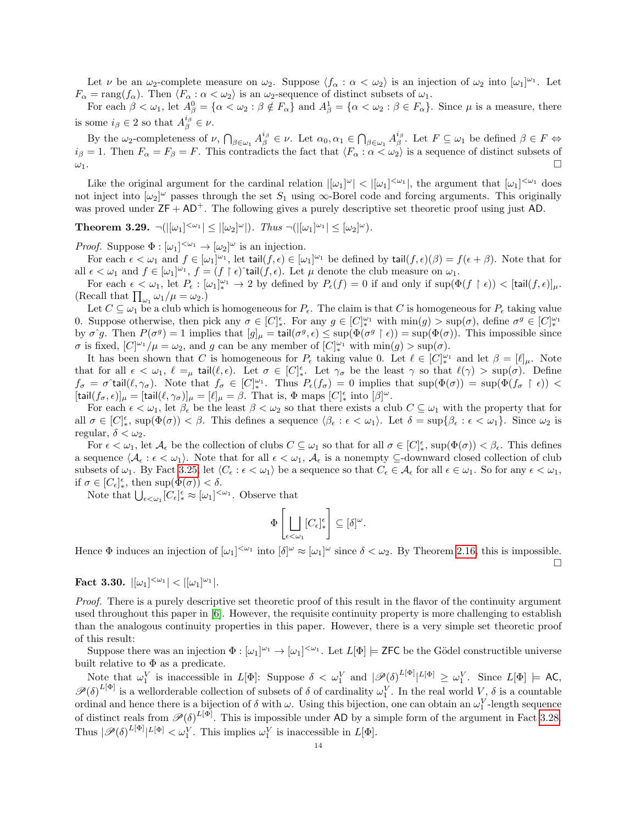Let  $\nu$  be an  $\omega_2$ -complete measure on  $\omega_2$ . Suppose  $\langle f_\alpha : \alpha < \omega_2 \rangle$  is an injection of  $\omega_2$  into  $[\omega_1]^{\omega_1}$ . Let  $F_{\alpha} = \text{rang}(f_{\alpha})$ . Then  $\langle F_{\alpha} : \alpha < \omega_2 \rangle$  is an  $\omega_2$ -sequence of distinct subsets of  $\omega_1$ .

For each  $\beta < \omega_1$ , let  $A_{\beta}^0 = {\alpha < \omega_2 : \beta \notin F_{\alpha}}$  and  $A_{\beta}^1 = {\alpha < \omega_2 : \beta \in F_{\alpha}}$ . Since  $\mu$  is a measure, there is some  $i_{\beta} \in 2$  so that  $A_{\beta}^{i_{\beta}} \in \nu$ .

By the  $\omega_2$ -completeness of  $\nu$ ,  $\bigcap_{\beta \in \omega_1} A^{i_\beta}_\beta \in \nu$ . Let  $\alpha_0, \alpha_1 \in \bigcap_{\beta \in \omega_1} A^{i_\beta}_\beta$ . Let  $F \subseteq \omega_1$  be defined  $\beta \in F \Leftrightarrow$  $i_\beta = 1$ . Then  $F_\alpha = F_\beta = F$ . This contradicts the fact that  $\langle F_\alpha : \alpha < \omega_2 \rangle$  is a sequence of distinct subsets of  $\omega_1$ .

Like the original argument for the cardinal relation  $|[\omega_1]^{\omega}| < |[\omega_1]^{<\omega_1}|$ , the argument that  $[\omega_1]^{<\omega_1}$  does not inject into  $[\omega_2]^\omega$  passes through the set  $S_1$  using  $\infty$ -Borel code and forcing arguments. This originally was proved under  $ZF + AD^+$ . The following gives a purely descriptive set theoretic proof using just AD.

<span id="page-13-1"></span>**Theorem 3.29.**  $\neg(|[\omega_1]^{<\omega_1}] \leq |[\omega_2]^\omega|)$ . Thus  $\neg(|[\omega_1]^{<\omega_1}] \leq [\omega_2]^\omega)$ .

*Proof.* Suppose  $\Phi : [\omega_1]^{<\omega_1} \to [\omega_2]^\omega$  is an injection.

For each  $\epsilon < \omega_1$  and  $f \in [\omega_1]^{\omega_1}$ , let tail $(f, \epsilon) \in [\omega_1]^{\omega_1}$  be defined by tail $(f, \epsilon)(\beta) = f(\epsilon + \beta)$ . Note that for all  $\epsilon < \omega_1$  and  $f \in [\omega_1]^{\omega_1}$ ,  $f = (f \restriction \epsilon)$  tail $(f, \epsilon)$ . Let  $\mu$  denote the club measure on  $\omega_1$ .

For each  $\epsilon < \omega_1$ , let  $P_{\epsilon} : [\omega_1]_{*}^{\omega_1} \to 2$  by defined by  $P_{\epsilon}(f) = 0$  if and only if  $\sup(\Phi(f \restriction \epsilon)) < [\text{tail}(f, \epsilon)]_{\mu}$ . (Recall that  $\prod_{\omega_1} \omega_1 / \mu = \omega_2.$ )

Let  $C \subseteq \omega_1$  be a club which is homogeneous for  $P_{\epsilon}$ . The claim is that C is homogeneous for  $P_{\epsilon}$  taking value 0. Suppose otherwise, then pick any  $\sigma \in [C]_{*}^{\epsilon}$ . For any  $g \in [C]_{*}^{\omega_1}$  with  $\min(g) > \sup(\sigma)$ , define  $\sigma^g \in [C]_{*}^{\omega_1}$ by  $\sigma \hat{g}$ . Then  $P(\sigma^g) = 1$  implies that  $[g]_\mu = \text{tail}(\sigma^g, \epsilon) \leq \sup(\Phi(\sigma^g \restriction \epsilon)) = \sup(\Phi(\sigma))$ . This impossible since  $\sigma$  is fixed,  $[C]^{\omega_1}/\mu = \omega_2$ , and g can be any member of  $[C]^{\omega_1}_{*}$  with  $\min(g) > \sup(\sigma)$ .

It has been shown that C is homogeneous for  $P_{\epsilon}$  taking value 0. Let  $\ell \in [C]_{*}^{\omega_1}$  and let  $\beta = [\ell]_{\mu}$ . Note that for all  $\epsilon < \omega_1$ ,  $\ell =_\mu$  tail $(\ell, \epsilon)$ . Let  $\sigma \in [C]_*^{\epsilon}$ . Let  $\gamma_{\sigma}$  be the least  $\gamma$  so that  $\ell(\gamma) > \sup(\sigma)$ . Define  $f_{\sigma} = \sigma^{\ast}$ tail $(\ell, \gamma_{\sigma})$ . Note that  $f_{\sigma} \in [C]_{*}^{\omega_{1}}$ . Thus  $P_{\epsilon}(f_{\sigma}) = 0$  implies that  $\sup(\Phi(\sigma)) = \sup(\Phi(f_{\sigma} \upharpoonright \epsilon))$  <  $[\text{tail}(f_\sigma, \epsilon)]_\mu = [\text{tail}(\ell, \gamma_\sigma)]_\mu = [\ell]_\mu = \beta$ . That is,  $\Phi$  maps  $[C]_*^\epsilon$  into  $[\beta]^\omega$ .

For each  $\epsilon < \omega_1$ , let  $\beta_{\epsilon}$  be the least  $\beta < \omega_2$  so that there exists a club  $C \subseteq \omega_1$  with the property that for all  $\sigma \in [C]_{*}^{\epsilon}$ , sup $(\Phi(\sigma)) < \beta$ . This defines a sequence  $\langle \beta_{\epsilon} : \epsilon < \omega_{1} \rangle$ . Let  $\delta = \sup \{\beta_{\epsilon} : \epsilon < \omega_{1}\}\$ . Since  $\omega_{2}$  is regular,  $\delta < \omega_2$ .

For  $\epsilon < \omega_1$ , let  $\mathcal{A}_{\epsilon}$  be the collection of clubs  $C \subseteq \omega_1$  so that for all  $\sigma \in [C]_*^{\epsilon}$ , sup $(\Phi(\sigma)) < \beta_{\epsilon}$ . This defines a sequence  $\langle A_{\epsilon} : \epsilon < \omega_1 \rangle$ . Note that for all  $\epsilon < \omega_1$ ,  $A_{\epsilon}$  is a nonempty ⊆-downward closed collection of club subsets of  $\omega_1$ . By Fact [3.25,](#page-12-2) let  $\langle C_\epsilon : \epsilon < \omega_1 \rangle$  be a sequence so that  $C_\epsilon \in \mathcal{A}_\epsilon$  for all  $\epsilon \in \omega_1$ . So for any  $\epsilon < \omega_1$ , if  $\sigma \in [C_{\epsilon}]_*^{\epsilon}$ , then  $\sup(\Phi(\sigma)) < \delta$ .

Note that  $\bigcup_{\epsilon \leq \omega_1} [C_{\epsilon}]_*^{\epsilon} \approx [\omega_1]^{<\omega_1}$ . Observe that

$$
\Phi\left[\bigsqcup_{\epsilon<\omega_1}[C_\epsilon]_*^\epsilon\right]\subseteq [\delta]^\omega.
$$

Hence  $\Phi$  induces an injection of  $[\omega_1]^{<\omega_1}$  into  $[\delta]^\omega \approx [\omega_1]^\omega$  since  $\delta < \omega_2$ . By Theorem [2.16,](#page-7-2) this is impossible.  $\Box$ 

<span id="page-13-0"></span>Fact 3.30.  $|[\omega_1]^{<\omega_1}| < |[\omega_1]^{\omega_1}|$ .

Proof. There is a purely descriptive set theoretic proof of this result in the flavor of the continuity argument used throughout this paper in [\[6\]](#page-18-7). However, the requisite continuity property is more challenging to establish than the analogous continuity properties in this paper. However, there is a very simple set theoretic proof of this result:

Suppose there was an injection  $\Phi : [\omega_1]^{\omega_1} \to [\omega_1]^{<\omega_1}$ . Let  $L[\Phi] \models \textsf{ZFC}$  be the Gödel constructible universe built relative to  $\Phi$  as a predicate.

Note that  $\omega_1^V$  is inaccessible in  $L[\Phi]$ : Suppose  $\delta < \omega_1^V$  and  $|\mathscr{P}(\delta)^{L[\Phi]}|^{L[\Phi]} \geq \omega_1^V$ . Since  $L[\Phi] \models AC$ ,  $\mathscr{P}(\delta)^{L[\Phi]}$  is a wellorderable collection of subsets of  $\delta$  of cardinality  $\omega_1^V$ . In the real world  $V, \delta$  is a countable ordinal and hence there is a bijection of  $\delta$  with  $\omega$ . Using this bijection, one can obtain an  $\omega_1^V$ -length sequence of distinct reals from  $\mathscr{P}(\delta)^{L[\Phi]}$ . This is impossible under AD by a simple form of the argument in Fact [3.28.](#page-12-3) Thus  $|\mathscr{P}(\delta)^{L[\Phi]}|^{L[\Phi]} < \omega_1^V$ . This implies  $\omega_1^V$  is inaccessible in  $L[\Phi]$ .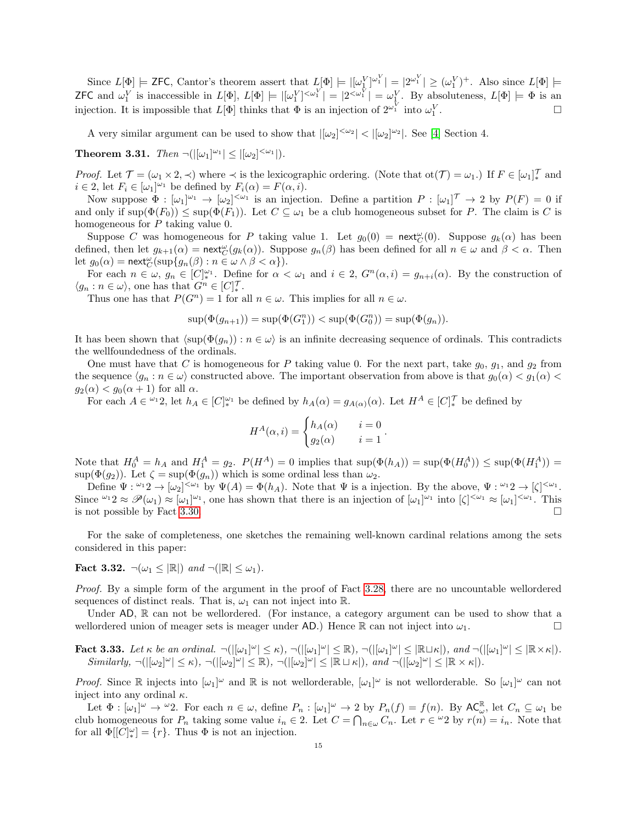Since  $L[\Phi] \models$  ZFC, Cantor's theorem assert that  $L[\Phi] \models |[\omega_1^V]^{\omega_1^V}| = |2^{\omega_1^V}| \geq (\omega_1^V)^+$ . Also since  $L[\Phi] \models$ **ZFC** and  $\omega_1^V$  is inaccessible in  $L[\Phi], L[\Phi] \models |[\omega_1^V]^{<\omega_1^V}| = |2^{<\omega_1^V}| = \omega_1^V$ . By absoluteness,  $L[\Phi] \models \Phi$  is an injection. It is impossible that  $L[\Phi]$  thinks that  $\Phi$  is an injection of  $2^{\omega_1^V}$  into  $\omega_1^V$ . — Первый процесс в постановки программа в серверном становки производительно становки производите с производ<br>В серверном становки производительно становки производительно становки производительно становки производительн

A very similar argument can be used to show that  $|[\omega_2]^{<\omega_2}| < |[\omega_2]^{\omega_2}|$ . See [\[4\]](#page-18-9) Section 4.

<span id="page-14-0"></span>**Theorem 3.31.** Then  $\neg(|[\omega_1]^{\omega_1}| \leq |[\omega_2]^{<\omega_1}|)$ .

*Proof.* Let  $\mathcal{T} = (\omega_1 \times 2, \prec)$  where  $\prec$  is the lexicographic ordering. (Note that ot $(\mathcal{T}) = \omega_1$ .) If  $F \in [\omega_1]_*^{\mathcal{T}}$  and  $i \in 2$ , let  $F_i \in [\omega_1]^{\omega_1}$  be defined by  $F_i(\alpha) = F(\alpha, i)$ .

Now suppose  $\Phi : [\omega_1]^{\omega_1} \to [\omega_2]^{<\omega_1}$  is an injection. Define a partition  $P : [\omega_1]^{\mathcal{T}} \to 2$  by  $P(F) = 0$  if and only if  $\sup(\Phi(F_0)) \leq \sup(\Phi(F_1))$ . Let  $C \subseteq \omega_1$  be a club homogeneous subset for P. The claim is C is homogeneous for P taking value 0.

Suppose C was homogeneous for P taking value 1. Let  $g_0(0) = \text{next}_{C}^{\omega}(0)$ . Suppose  $g_k(\alpha)$  has been defined, then let  $g_{k+1}(\alpha) = \text{next}_{C}^{\omega}(g_k(\alpha))$ . Suppose  $g_n(\beta)$  has been defined for all  $n \in \omega$  and  $\beta < \alpha$ . Then let  $g_0(\alpha) = \operatorname{\mathsf{next}}_{C}^\omega(\sup\{g_n(\beta) : n \in \omega \wedge \beta < \alpha\}).$ 

For each  $n \in \omega$ ,  $g_n \in [C]_*^{\omega_1}$ . Define for  $\alpha < \omega_1$  and  $i \in 2$ ,  $G^n(\alpha, i) = g_{n+i}(\alpha)$ . By the construction of  $\langle g_n : n \in \omega \rangle$ , one has that  $G^n \in [C]_{*}^{\mathcal{T}}$ .

Thus one has that  $P(G^n) = 1$  for all  $n \in \omega$ . This implies for all  $n \in \omega$ .

$$
\sup(\Phi(g_{n+1})) = \sup(\Phi(G_1^n)) < \sup(\Phi(G_0^n)) = \sup(\Phi(g_n)).
$$

It has been shown that  $\langle \sup(\Phi(g_n)) : n \in \omega \rangle$  is an infinite decreasing sequence of ordinals. This contradicts the wellfoundedness of the ordinals.

One must have that C is homogeneous for P taking value 0. For the next part, take  $g_0, g_1$ , and  $g_2$  from the sequence  $\langle g_n : n \in \omega \rangle$  constructed above. The important observation from above is that  $g_0(\alpha) < g_1(\alpha) <$  $g_2(\alpha) < g_0(\alpha + 1)$  for all  $\alpha$ .

For each  $A \in \mathfrak{L}_1$ , let  $h_A \in [C]_{*}^{\omega_1}$  be defined by  $h_A(\alpha) = g_{A(\alpha)}(\alpha)$ . Let  $H^A \in [C]_{*}^{\mathcal{T}}$  be defined by

$$
H^{A}(\alpha, i) = \begin{cases} h_{A}(\alpha) & i = 0\\ g_{2}(\alpha) & i = 1 \end{cases}
$$

.

Note that  $H_0^A = h_A$  and  $H_1^A = g_2$ .  $P(H^A) = 0$  implies that  $\sup(\Phi(h_A)) = \sup(\Phi(H_0^A)) \leq \sup(\Phi(H_1^A)) =$ sup $(\Phi(g_2))$ . Let  $\zeta = \sup(\Phi(g_n))$  which is some ordinal less than  $\omega_2$ .

Define  $\Psi: {}^{\omega_1} 2 \to [\omega_2]^{<\omega_1}$  by  $\Psi(A) = \Phi(h_A)$ . Note that  $\Psi$  is a injection. By the above,  $\Psi: {}^{\omega_1} 2 \to [\zeta]^{<\omega_1}$ . Since  $\omega_1 \otimes \mathcal{P}(\omega_1) \approx [\omega_1]^{\omega_1}$ , one has shown that there is an injection of  $[\omega_1]^{\omega_1}$  into  $[\zeta]^{<\omega_1} \approx [\omega_1]^{<\omega_1}$ . This is not possible by Fact [3.30.](#page-13-0)

For the sake of completeness, one sketches the remaining well-known cardinal relations among the sets considered in this paper:

Fact 3.32.  $\neg(\omega_1 \leq |\mathbb{R}|)$  and  $\neg(|\mathbb{R}| \leq \omega_1)$ .

Proof. By a simple form of the argument in the proof of Fact [3.28,](#page-12-3) there are no uncountable wellordered sequences of distinct reals. That is,  $\omega_1$  can not inject into R.

Under AD, R can not be wellordered. (For instance, a category argument can be used to show that a wellordered union of meager sets is meager under AD.) Hence R can not inject into  $\omega_1$ .

Fact 3.33. Let  $\kappa$  be an ordinal.  $\neg(|[\omega_1]^\omega| \leq \kappa)$ ,  $\neg(|[\omega_1]^\omega| \leq \mathbb{R})$ ,  $\neg(|[\omega_1]^\omega| \leq |\mathbb{R} \sqcup \kappa|)$ , and  $\neg(|[\omega_1]^\omega| \leq |\mathbb{R} \times \kappa|)$ .  $Similarly, \neg ( |[\omega_2]^{\omega} | \leq \kappa), \neg ( |[\omega_2]^{\omega} | \leq \mathbb{R}), \neg ( |[\omega_2]^{\omega} | \leq |\mathbb{R} \sqcup \kappa |), \text{ and } \neg ( |[\omega_2]^{\omega} | \leq |\mathbb{R} \times \kappa |).$ 

*Proof.* Since  $\mathbb R$  injects into  $[\omega_1]^\omega$  and  $\mathbb R$  is not wellorderable,  $[\omega_1]^\omega$  is not wellorderable. So  $[\omega_1]^\omega$  can not inject into any ordinal  $\kappa$ .

Let  $\Phi: [\omega_1]^\omega \to {}^{\omega}2$ . For each  $n \in \omega$ , define  $P_n: [\omega_1]^\omega \to 2$  by  $P_n(f) = f(n)$ . By  $AC_{\omega}^{\mathbb{R}}$ , let  $C_n \subseteq \omega_1$  be club homogeneous for  $P_n$  taking some value  $i_n \in \mathbb{2}$ . Let  $C = \bigcap_{n \in \omega} C_n$ . Let  $r \in \omega_2$  by  $r(n) = i_n$ . Note that for all  $\Phi[[C]_*^{\omega}] = \{r\}$ . Thus  $\Phi$  is not an injection.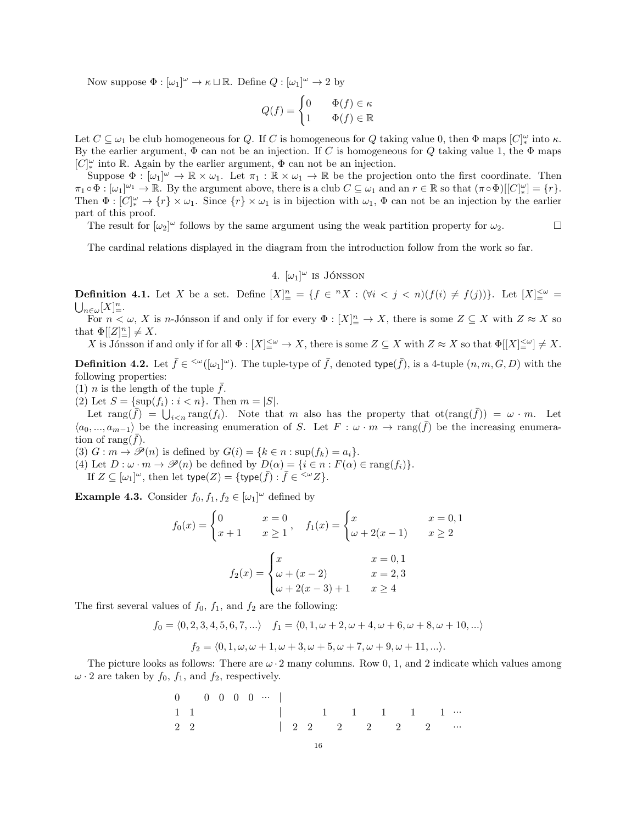Now suppose  $\Phi : [\omega_1]^\omega \to \kappa \sqcup \mathbb{R}$ . Define  $Q : [\omega_1]^\omega \to 2$  by

$$
Q(f) = \begin{cases} 0 & \Phi(f) \in \kappa \\ 1 & \Phi(f) \in \mathbb{R} \end{cases}
$$

Let  $C \subseteq \omega_1$  be club homogeneous for Q. If C is homogeneous for Q taking value 0, then  $\Phi$  maps  $[C]_*^\omega$  into  $\kappa$ . By the earlier argument,  $\Phi$  can not be an injection. If C is homogeneous for Q taking value 1, the  $\Phi$  maps  $[C]_{*}^{\omega}$  into  $\mathbb R$ . Again by the earlier argument,  $\Phi$  can not be an injection.

Suppose  $\Phi : [\omega_1]^{\omega} \to \mathbb{R} \times \omega_1$ . Let  $\pi_1 : \mathbb{R} \times \omega_1 \to \mathbb{R}$  be the projection onto the first coordinate. Then  $\pi_1 \circ \Phi : [\omega_1]^{\omega_1} \to \mathbb{R}$ . By the argument above, there is a club  $C \subseteq \omega_1$  and an  $r \in \mathbb{R}$  so that  $(\pi \circ \Phi)[[C]_*^{\omega}] = \{r\}.$ Then  $\Phi: [C]_*^{\omega} \to \{r\} \times \omega_1$ . Since  $\{r\} \times \omega_1$  is in bijection with  $\omega_1$ ,  $\Phi$  can not be an injection by the earlier part of this proof.

The result for  $[\omega_2]^\omega$  follows by the same argument using the weak partition property for  $\omega_2$ .

The cardinal relations displayed in the diagram from the introduction follow from the work so far.

# 4.  $[\omega_1]^\omega$  is Jónsson

**Definition 4.1.** Let X be a set. Define  $[X]_{\equiv}^n = \{f \in {}^n X : (\forall i \leq j \leq n)(f(i) \neq f(j))\}$ . Let  $[X]_{\equiv}^{\leq \omega} = \bigcup_{n \in \omega} [X]_{\equiv}^n$ .  $n \in \omega [X]_{\equiv}^n$ .

For  $n < \omega$ , X is n-Jónsson if and only if for every  $\Phi : [X]_{\equiv}^n \to X$ , there is some  $Z \subseteq X$  with  $Z \approx X$  so that  $\Phi[[Z]_-^n] \neq X$ .

X is Jónsson if and only if for all  $\Phi: [X] \leq W \to X$ , there is some  $Z \subseteq X$  with  $Z \approx X$  so that  $\Phi[[X] \leq W] \neq X$ .

<span id="page-15-0"></span>**Definition 4.2.** Let  $\bar{f} \in \langle \omega([\omega_1]^\omega)$ . The tuple-type of  $\bar{f}$ , denoted type( $\bar{f}$ ), is a 4-tuple  $(n, m, G, D)$  with the following properties:

(1) *n* is the length of the tuple  $\bar{f}$ .

(2) Let  $S = \{\sup(f_i) : i < n\}$ . Then  $m = |S|$ .

Let  $\text{rang}(\bar{f}) = \bigcup_{i \leq n} \text{rang}(f_i)$ . Note that m also has the property that  $\text{ot}(\text{rang}(\bar{f})) = \omega \cdot m$ . Let  $\langle a_0, ..., a_{m-1} \rangle$  be the increasing enumeration of S. Let  $F : \omega \cdot m \to \text{rang}(f)$  be the increasing enumeration of rang $(\bar{f})$ .

(3)  $G : m \to \mathcal{P}(n)$  is defined by  $G(i) = \{k \in n : \sup(f_k) = a_i\}.$ 

(4) Let  $D : \omega \cdot m \to \mathscr{P}(n)$  be defined by  $D(\alpha) = \{i \in n : F(\alpha) \in \text{rang}(f_i)\}.$ 

If  $Z \subseteq [\omega_1]^{\omega}$ , then let  $type(Z) = \{type(\overline{f}) : \overline{f} \in \{-\omega Z\}.$ 

<span id="page-15-1"></span>**Example 4.3.** Consider  $f_0, f_1, f_2 \in [\omega_1]^\omega$  defined by

$$
f_0(x) = \begin{cases} 0 & x = 0 \\ x + 1 & x \ge 1 \end{cases}, \quad f_1(x) = \begin{cases} x & x = 0, 1 \\ \omega + 2(x - 1) & x \ge 2 \end{cases}
$$

$$
f_2(x) = \begin{cases} x & x = 0, 1 \\ \omega + (x - 2) & x = 2, 3 \\ \omega + 2(x - 3) + 1 & x \ge 4 \end{cases}
$$

The first several values of  $f_0$ ,  $f_1$ , and  $f_2$  are the following:

$$
f_0 = \langle 0, 2, 3, 4, 5, 6, 7, \ldots \rangle \quad f_1 = \langle 0, 1, \omega + 2, \omega + 4, \omega + 6, \omega + 8, \omega + 10, \ldots \rangle
$$

$$
f_2 = \langle 0, 1, \omega, \omega + 1, \omega + 3, \omega + 5, \omega + 7, \omega + 9, \omega + 11, \ldots \rangle.
$$

The picture looks as follows: There are  $\omega \cdot 2$  many columns. Row 0, 1, and 2 indicate which values among  $\omega \cdot 2$  are taken by  $f_0$ ,  $f_1$ , and  $f_2$ , respectively.

$$
\begin{array}{cccccccc} 0 & 0 & 0 & 0 & 0 & \cdots & | & & & & \\ 1 & 1 & & & & & | & & & 1 & 1 & 1 & 1 & 1 & \cdots \\ 2 & 2 & & & & & | & 2 & 2 & 2 & 2 & 2 & 2 & \cdots \end{array}
$$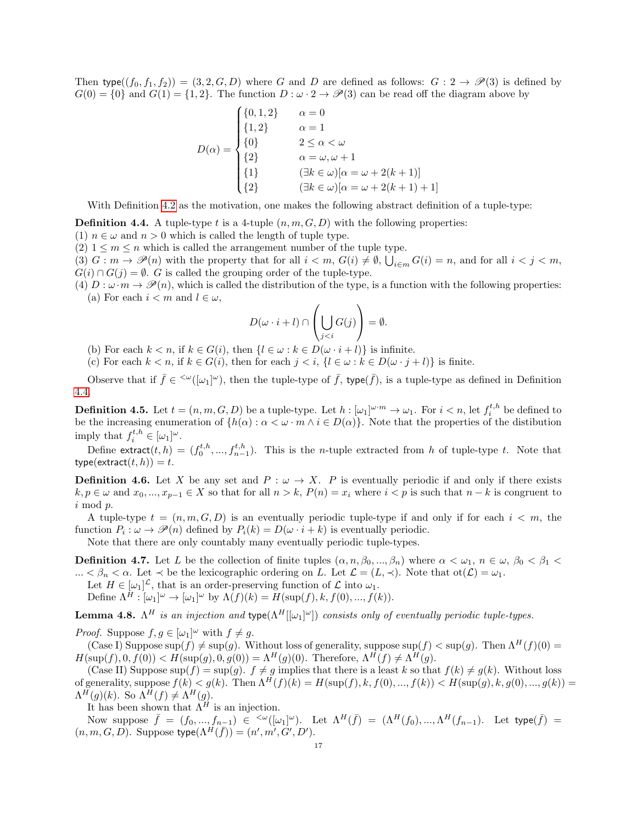Then type( $(f_0, f_1, f_2)$ ) = (3, 2, G, D) where G and D are defined as follows:  $G: 2 \rightarrow \mathcal{P}(3)$  is defined by  $G(0) = \{0\}$  and  $G(1) = \{1, 2\}$ . The function  $D : \omega \cdot 2 \to \mathcal{P}(3)$  can be read off the diagram above by

$$
D(\alpha) = \begin{cases} \{0, 1, 2\} & \alpha = 0 \\ \{1, 2\} & \alpha = 1 \\ \{0\} & 2 \le \alpha < \omega \\ \{2\} & \alpha = \omega, \omega + 1 \\ \{1\} & (\exists k \in \omega)[\alpha = \omega + 2(k+1)] \\ \{2\} & (\exists k \in \omega)[\alpha = \omega + 2(k+1) + 1] \end{cases}
$$

With Definition [4.2](#page-15-0) as the motivation, one makes the following abstract definition of a tuple-type:

<span id="page-16-0"></span>**Definition 4.4.** A tuple-type t is a 4-tuple  $(n, m, G, D)$  with the following properties:

(1)  $n \in \omega$  and  $n > 0$  which is called the length of tuple type.

(2)  $1 \leq m \leq n$  which is called the arrangement number of the tuple type.

(3)  $G: m \to \mathscr{P}(n)$  with the property that for all  $i < m$ ,  $G(i) \neq \emptyset$ ,  $\bigcup_{i \in m} G(i) = n$ , and for all  $i < j < m$ ,  $G(i) \cap G(j) = \emptyset$ . G is called the grouping order of the tuple-type.

(4)  $D: \omega \cdot m \to \mathscr{P}(n)$ , which is called the distribution of the type, is a function with the following properties: (a) For each  $i < m$  and  $l \in \omega$ ,

$$
D(\omega \cdot i + l) \cap \left(\bigcup_{j < i} G(j)\right) = \emptyset.
$$

(b) For each  $k < n$ , if  $k \in G(i)$ , then  $\{l \in \omega : k \in D(\omega \cdot i + l)\}\)$  is infinite.

(c) For each  $k < n$ , if  $k \in G(i)$ , then for each  $j < i$ ,  $\{l \in \omega : k \in D(\omega \cdot j + l)\}\$ is finite.

Observe that if  $\bar{f} \in \langle \omega([\omega_1]^\omega)$ , then the tuple-type of  $\bar{f}$ , type( $\bar{f}$ ), is a tuple-type as defined in Definition [4.4.](#page-16-0)

**Definition 4.5.** Let  $t = (n, m, G, D)$  be a tuple-type. Let  $h : [\omega_1]^{\omega \cdot m} \to \omega_1$ . For  $i < n$ , let  $f_i^{t,h}$  be defined to be the increasing enumeration of  $\{h(\alpha): \alpha < \omega \cdot m \wedge i \in D(\alpha)\}\)$ . Note that the properties of the distibution imply that  $f_i^{t,h} \in [\omega_1]^\omega$ .

Define extract $(t, h) = (f_0^{t, h}, ..., f_{n-1}^{t, h})$ . This is the *n*-tuple extracted from *h* of tuple-type *t*. Note that  $type(extract(t, h)) = t.$ 

**Definition 4.6.** Let X be any set and  $P : \omega \to X$ . P is eventually periodic if and only if there exists  $k, p \in \omega$  and  $x_0, ..., x_{n-1} \in X$  so that for all  $n > k$ ,  $P(n) = x_i$  where  $i < p$  is such that  $n - k$  is congruent to i mod p.

A tuple-type  $t = (n, m, G, D)$  is an eventually periodic tuple-type if and only if for each  $i < m$ , the function  $P_i: \omega \to \mathscr{P}(n)$  defined by  $P_i(k) = D(\omega \cdot i + k)$  is eventually periodic.

Note that there are only countably many eventually periodic tuple-types.

**Definition 4.7.** Let L be the collection of finite tuples  $(\alpha, n, \beta_0, ..., \beta_n)$  where  $\alpha < \omega_1, n \in \omega, \beta_0 < \beta_1 < \beta_0$ ...  $\lt \beta_n \lt \alpha$ . Let  $\lt$  be the lexicographic ordering on L. Let  $\mathcal{L} = (L, \lt)$ . Note that  $\text{ot}(\mathcal{L}) = \omega_1$ .

Let  $H \in [\omega_1]^{\mathcal{L}}$ , that is an order-preserving function of  $\mathcal{L}$  into  $\omega_1$ .

Define  $\Lambda^H : [\omega_1]^\omega \to [\omega_1]^\omega$  by  $\Lambda(f)(k) = H(\sup(f), k, f(0), ..., f(k)).$ 

<span id="page-16-1"></span>**Lemma 4.8.**  $\Lambda^H$  is an injection and type $(\Lambda^H[[\omega_1]^{\omega}])$  consists only of eventually periodic tuple-types.

*Proof.* Suppose  $f, g \in [\omega_1]^\omega$  with  $f \neq g$ .

(Case I) Suppose sup(f)  $\neq$  sup(g). Without loss of generality, suppose sup(f)  $\lt$  sup(g). Then  $\Lambda^H(f)(0)$  =  $H(\sup(f), 0, f(0)) < H(\sup(g), 0, g(0)) = \Lambda^H(g)(0)$ . Therefore,  $\Lambda^H(f) \neq \Lambda^H(g)$ .

(Case II) Suppose sup(f) = sup(g).  $f \neq g$  implies that there is a least k so that  $f(k) \neq g(k)$ . Without loss of generality, suppose  $f(k) < g(k)$ . Then  $\Lambda^H(f)(k) = H(\sup(f), k, f(0), ..., f(k)) < H(\sup(g), k, g(0), ..., g(k)) =$  $\Lambda^H(g)(k)$ . So  $\Lambda^H(f) \neq \Lambda^H(g)$ .

It has been shown that  $\tilde{\Lambda}$ <sup>H</sup> is an injection.

Now suppose  $\bar{f} = (f_0, ..., f_{n-1}) \in \langle \omega([\omega_1]^\omega)$ . Let  $\Lambda^H(\bar{f}) = (\Lambda^H(f_0), ..., \Lambda^H(f_{n-1})$ . Let type $(\bar{f}) =$  $(n, m, G, D)$ . Suppose type $(\Lambda^H(\bar{f})) = (n', m', G', D')$ .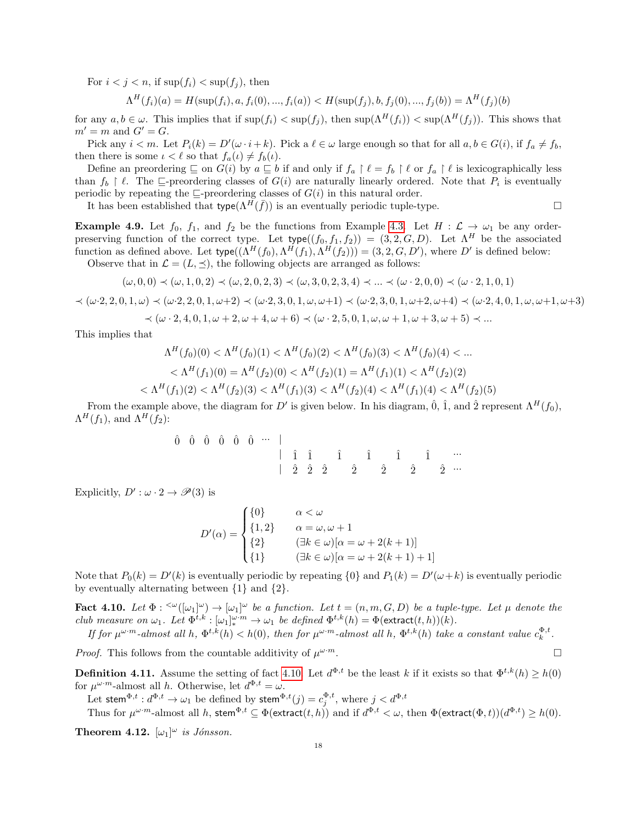For  $i < j < n$ , if  $\sup(f_i) < \sup(f_i)$ , then

 $\Lambda^H(f_i)(a) = H(\sup(f_i), a, f_i(0), ..., f_i(a)) < H(\sup(f_j), b, f_j(0), ..., f_j(b)) = \Lambda^H(f_j)(b)$ 

for any  $a, b \in \omega$ . This implies that if  $\sup(f_i) < \sup(f_i)$ , then  $\sup(\Lambda^H(f_i)) < \sup(\Lambda^H(f_i))$ . This shows that  $m' = m$  and  $G' = G$ .

Pick any  $i < m$ . Let  $P_i(k) = D'(\omega \cdot i + k)$ . Pick a  $\ell \in \omega$  large enough so that for all  $a, b \in G(i)$ , if  $f_a \neq f_b$ , then there is some  $\iota < \ell$  so that  $f_a(\iota) \neq f_b(\iota)$ .

Define an preordering  $\subseteq$  on  $G(i)$  by  $a \subseteq b$  if and only if  $f_a \upharpoonright \ell = f_b \upharpoonright \ell$  or  $f_a \upharpoonright \ell$  is lexicographically less than  $f_b \restriction \ell$ . The  $\sqsubseteq$ -preordering classes of  $G(i)$  are naturally linearly ordered. Note that  $P_i$  is eventually periodic by repeating the  $\sqsubseteq$ -preordering classes of  $G(i)$  in this natural order.

It has been established that type( $\Lambda^{H}(\bar{f})$ ) is an eventually periodic tuple-type.

**Example 4.9.** Let  $f_0$ ,  $f_1$ , and  $f_2$  be the functions from Example [4.3.](#page-15-1) Let  $H : \mathcal{L} \to \omega_1$  be any orderpreserving function of the correct type. Let  $type((f_0, f_1, f_2)) = (3, 2, G, D)$ . Let  $\Lambda^H$  be the associated function as defined above. Let  $type((\Lambda^H(f_0), \Lambda^H(f_1), \Lambda^H(f_2))) = (3, 2, G, D')$ , where D' is defined below: Observe that in  $\mathcal{L} = (L, \preceq)$ , the following objects are arranged as follows:

$$
(\omega, 0, 0) \prec (\omega, 1, 0, 2) \prec (\omega, 2, 0, 2, 3) \prec (\omega, 3, 0, 2, 3, 4) \prec \dots \prec (\omega \cdot 2, 0, 0) \prec (\omega \cdot 2, 1, 0, 1)
$$

 $\prec(\omega\cdot2,2,0,1,\omega)\prec(\omega\cdot2,2,0,1,\omega+2)\prec(\omega\cdot2,3,0,1,\omega,\omega+1)\prec(\omega\cdot2,3,0,1,\omega+2,\omega+4)\prec(\omega\cdot2,4,0,1,\omega,\omega+1,\omega+3)$ 

$$
\prec (\omega \cdot 2, 4, 0, 1, \omega + 2, \omega + 4, \omega + 6) \prec (\omega \cdot 2, 5, 0, 1, \omega, \omega + 1, \omega + 3, \omega + 5) \prec \dots
$$

This implies that

$$
\Lambda^H(f_0)(0) < \Lambda^H(f_0)(1) < \Lambda^H(f_0)(2) < \Lambda^H(f_0)(3) < \Lambda^H(f_0)(4) < \dots
$$
\n
$$
< \Lambda^H(f_1)(0) = \Lambda^H(f_2)(0) < \Lambda^H(f_2)(1) = \Lambda^H(f_1)(1) < \Lambda^H(f_2)(2)
$$
\n
$$
< \Lambda^H(f_1)(2) < \Lambda^H(f_2)(3) < \Lambda^H(f_1)(3) < \Lambda^H(f_2)(4) < \Lambda^H(f_1)(4) < \Lambda^H(f_2)(5)
$$

From the example above, the diagram for D' is given below. In his diagram,  $\hat{0}$ ,  $\hat{1}$ , and  $\hat{2}$  represent  $\Lambda^H(f_0)$ ,  $\Lambda^H(f_1)$ , and  $\Lambda^H(f_2)$ :

> $\begin{array}{ccc} \hat{0} & \hat{0} & \hat{0} & \hat{0} & \hat{0} & \hat{0} & \cdots \end{array}$  $\begin{array}{ccccccccc}\n & \hat{1} & \hat{1} & \hat{1} & \hat{1} & \hat{1} & \hat{1} & \cdots\n\end{array}$  $\begin{array}{ccccccccccccc}\n & & &\hat{2} & & \hat{2} & & \hat{2} & & \hat{2} & & \hat{2} & & \hat{2} & & \cdots\n\end{array}$

Explicitly,  $D': \omega \cdot 2 \to \mathscr{P}(3)$  is

$$
D'(\alpha) = \begin{cases} \{0\} & \alpha < \omega \\ \{1,2\} & \alpha = \omega, \omega + 1 \\ \{2\} & (\exists k \in \omega)[\alpha = \omega + 2(k+1)] \\ \{1\} & (\exists k \in \omega)[\alpha = \omega + 2(k+1) + 1] \end{cases}
$$

Note that  $P_0(k) = D'(k)$  is eventually periodic by repeating  $\{0\}$  and  $P_1(k) = D'(\omega + k)$  is eventually periodic by eventually alternating between {1} and {2}.

<span id="page-17-1"></span>**Fact 4.10.** Let  $\Phi: \langle \omega_1 | \omega \rangle \to [\omega_1]^\omega$  be a function. Let  $t = (n, m, G, D)$  be a tuple-type. Let  $\mu$  denote the club measure on  $\omega_1$ . Let  $\Phi^{t,k} : [\omega_1]_*^{\omega \cdot m} \to \omega_1$  be defined  $\Phi^{t,k}(h) = \Phi(\text{extract}(t,h))(k)$ .

If for  $\mu^{\omega \cdot m}$ -almost all h,  $\Phi^{t,k}(h) < h(0)$ , then for  $\mu^{\omega \cdot m}$ -almost all h,  $\Phi^{t,k}(h)$  take a constant value  $c_k^{\Phi, t}$ .

*Proof.* This follows from the countable additivity of  $\mu^{\omega \cdot m}$ .  $\omega \cdot m$ .

<span id="page-17-2"></span>**Definition 4.11.** Assume the setting of fact [4.10.](#page-17-1) Let  $d^{\Phi,t}$  be the least k if it exists so that  $\Phi^{t,k}(h) \geq h(0)$ for  $\mu^{\omega \cdot m}$ -almost all h. Otherwise, let  $d^{\Phi, t} = \omega$ .

Let stem $^{\Phi, t}:d^{\Phi, t}\to \omega_1$  be defined by stem $^{\Phi, t}(j)=c^{\Phi, t}_j,$  where  $j< d^{\Phi, t}$ 

Thus for  $\mu^{\omega \cdot m}$ -almost all h, stem $\Phi, t \subseteq \Phi$ (extract $(t, h)$ ) and if  $d^{\Phi, t} < \omega$ , then  $\Phi$ (extract $(\Phi, t)$ )( $d^{\Phi, t}$ )  $\geq h(0)$ .

<span id="page-17-0"></span>**Theorem 4.12.**  $[\omega_1]^{\omega}$  is Jónsson.